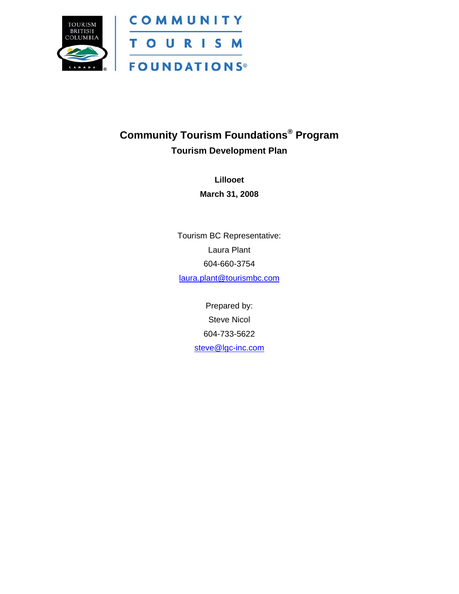

### **Community Tourism Foundations® Program Tourism Development Plan**

**Lillooet March 31, 2008** 

Tourism BC Representative: Laura Plant 604-660-3754 [laura.plant@tourismbc.com](mailto:laura.plant@tourismbc.com)

> Prepared by: Steve Nicol 604-733-5622 steve@lgc-inc.com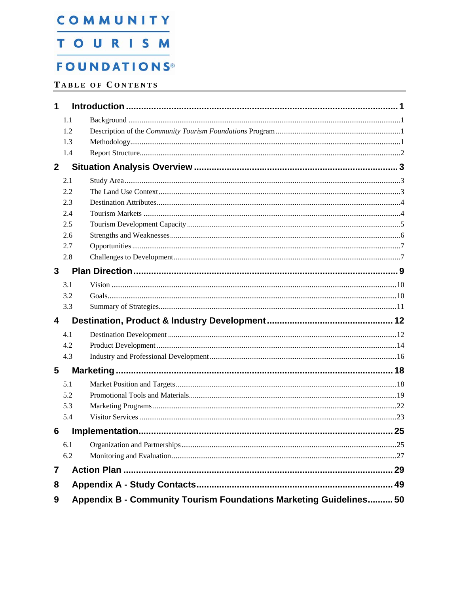### **TOURISM**

### **FOUNDATIONS®**

#### TABLE OF CONTENTS

| 1            |     |                                                                    |      |
|--------------|-----|--------------------------------------------------------------------|------|
|              | 1.1 |                                                                    |      |
|              | 1.2 |                                                                    |      |
|              | 1.3 |                                                                    |      |
|              | 1.4 |                                                                    |      |
| $\mathbf{2}$ |     |                                                                    |      |
|              | 2.1 |                                                                    |      |
|              | 2.2 |                                                                    |      |
|              | 2.3 |                                                                    |      |
|              | 2.4 |                                                                    |      |
|              | 2.5 |                                                                    |      |
|              | 2.6 |                                                                    |      |
|              | 2.7 |                                                                    |      |
|              | 2.8 |                                                                    |      |
| 3            |     |                                                                    |      |
|              | 3.1 |                                                                    |      |
|              | 3.2 |                                                                    |      |
|              | 3.3 |                                                                    |      |
| 4            |     |                                                                    |      |
|              | 4.1 |                                                                    |      |
|              | 4.2 |                                                                    |      |
|              | 4.3 |                                                                    |      |
| 5            |     |                                                                    |      |
|              | 5.1 |                                                                    |      |
|              | 5.2 |                                                                    |      |
|              | 5.3 |                                                                    |      |
|              | 5.4 |                                                                    |      |
| 6            |     |                                                                    | . 25 |
|              | 6.1 |                                                                    |      |
|              | 6.2 |                                                                    |      |
| 7            |     |                                                                    |      |
| 8            |     |                                                                    | 49   |
| 9            |     | Appendix B - Community Tourism Foundations Marketing Guidelines 50 |      |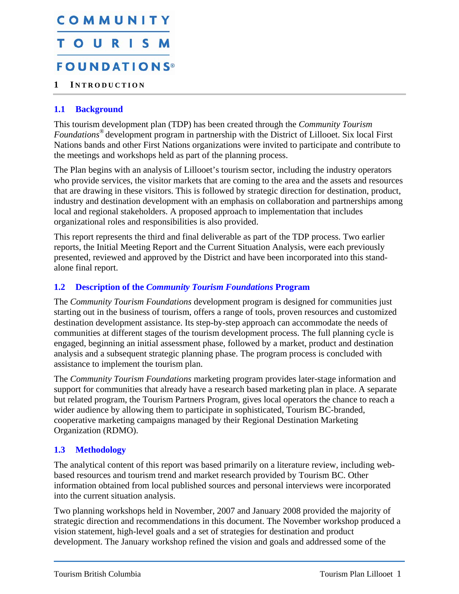## <span id="page-2-0"></span>COMMUNITY TOURISM **FOUNDATIONS®**

#### <span id="page-2-1"></span>**1 I NTRODUCTION**

#### **1.1 Background**

<span id="page-2-2"></span>This tourism development plan (TDP) has been created through the *Community Tourism Foundations®* development program in partnership with the District of Lillooet. Six local First Nations bands and other First Nations organizations were invited to participate and contribute to the meetings and workshops held as part of the planning process.

The Plan begins with an analysis of Lillooet's tourism sector, including the industry operators who provide services, the visitor markets that are coming to the area and the assets and resources that are drawing in these visitors. This is followed by strategic direction for destination, product, industry and destination development with an emphasis on collaboration and partnerships among local and regional stakeholders. A proposed approach to implementation that includes organizational roles and responsibilities is also provided.

This report represents the third and final deliverable as part of the TDP process. Two earlier reports, the Initial Meeting Report and the Current Situation Analysis, were each previously presented, reviewed and approved by the District and have been incorporated into this standalone final report.

#### <span id="page-2-3"></span>**1.2 Description of the** *Community Tourism Foundations* **Program**

The *Community Tourism Foundations* development program is designed for communities just starting out in the business of tourism, offers a range of tools, proven resources and customized destination development assistance. Its step-by-step approach can accommodate the needs of communities at different stages of the tourism development process. The full planning cycle is engaged, beginning an initial assessment phase, followed by a market, product and destination analysis and a subsequent strategic planning phase. The program process is concluded with assistance to implement the tourism plan.

The *Community Tourism Foundations* marketing program provides later-stage information and support for communities that already have a research based marketing plan in place. A separate but related program, the Tourism Partners Program, gives local operators the chance to reach a wider audience by allowing them to participate in sophisticated, Tourism BC-branded, cooperative marketing campaigns managed by their Regional Destination Marketing Organization (RDMO).

#### <span id="page-2-4"></span>**1.3 Methodology**

The analytical content of this report was based primarily on a literature review, including webbased resources and tourism trend and market research provided by Tourism BC. Other information obtained from local published sources and personal interviews were incorporated into the current situation analysis.

Two planning workshops held in November, 2007 and January 2008 provided the majority of strategic direction and recommendations in this document. The November workshop produced a vision statement, high-level goals and a set of strategies for destination and product development. The January workshop refined the vision and goals and addressed some of the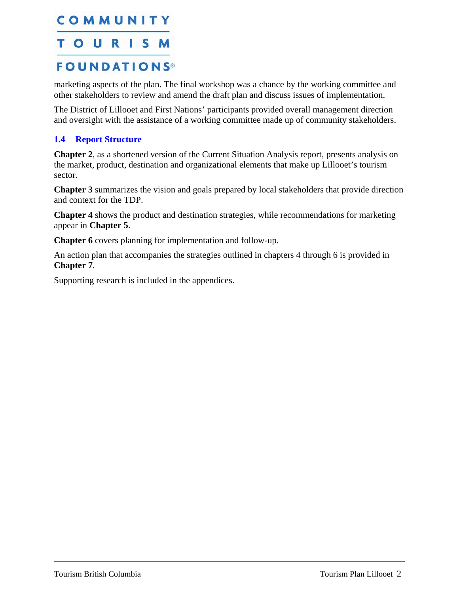#### <span id="page-3-0"></span>COMMUNITY T O U S M R H. **FOUNDATIONS®**

marketing aspects of the plan. The final workshop was a chance by the working committee and other stakeholders to review and amend the draft plan and discuss issues of implementation.

The District of Lillooet and First Nations' participants provided overall management direction and oversight with the assistance of a working committee made up of community stakeholders.

#### <span id="page-3-1"></span>**1.4 Report Structure**

**Chapter 2**, as a shortened version of the Current Situation Analysis report, presents analysis on the market, product, destination and organizational elements that make up Lillooet's tourism sector.

**Chapter 3** summarizes the vision and goals prepared by local stakeholders that provide direction and context for the TDP.

**Chapter 4** shows the product and destination strategies, while recommendations for marketing appear in **Chapter 5**.

**Chapter 6** covers planning for implementation and follow-up.

An action plan that accompanies the strategies outlined in chapters 4 through 6 is provided in **Chapter 7**.

Supporting research is included in the appendices.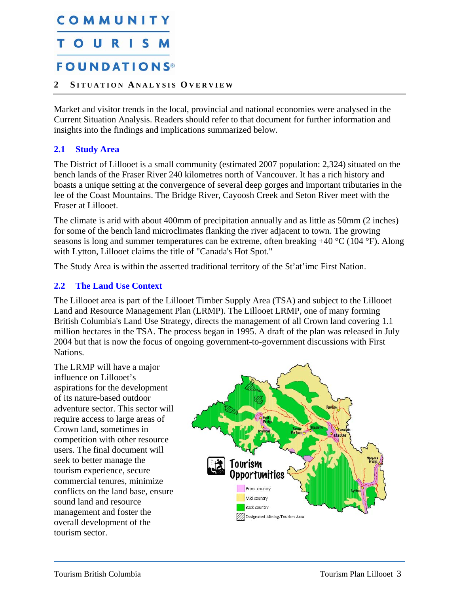## <span id="page-4-0"></span>COMMUNITY TOUR

## **FOUNDATIONS®**

#### <span id="page-4-1"></span>**2 S ITUATION A NALYSIS O VERVIEW**

Market and visitor trends in the local, provincial and national economies were analysed in the Current Situation Analysis. Readers should refer to that document for further information and insights into the findings and implications summarized below.

#### <span id="page-4-2"></span>**2.1 Study Area**

The District of Lillooet is a small community (estimated 2007 population: 2,324) situated on the bench lands of the Fraser River 240 kilometres north of Vancouver. It has a rich history and boasts a unique setting at the convergence of several deep gorges and important tributaries in the lee of the Coast Mountains. The Bridge River, Cayoosh Creek and Seton River meet with the Fraser at Lillooet.

The climate is arid with about 400mm of precipitation annually and as little as 50mm (2 inches) for some of the bench land microclimates flanking the river adjacent to town. The growing seasons is long and summer temperatures can be extreme, often breaking +40 °C (104 °F). Along with Lytton, Lillooet claims the title of "Canada's Hot Spot."

The Study Area is within the asserted traditional territory of the St'at'imc First Nation.

#### <span id="page-4-3"></span>**2.2 The Land Use Context**

The Lillooet area is part of the Lillooet Timber Supply Area (TSA) and subject to the Lillooet Land and Resource Management Plan (LRMP). The Lillooet LRMP, one of many forming British Columbia's Land Use Strategy, directs the management of all Crown land covering 1.1 million hectares in the TSA. The process began in 1995. A draft of the plan was released in July 2004 but that is now the focus of ongoing government-to-government discussions with First Nations.

The LRMP will have a major influence on Lillooet's aspirations for the development of its nature-based outdoor adventure sector. This sector will require access to large areas of Crown land, sometimes in competition with other resource users. The final document will seek to better manage the tourism experience, secure commercial tenures, minimize conflicts on the land base, ensure sound land and resource management and foster the overall development of the tourism sector.

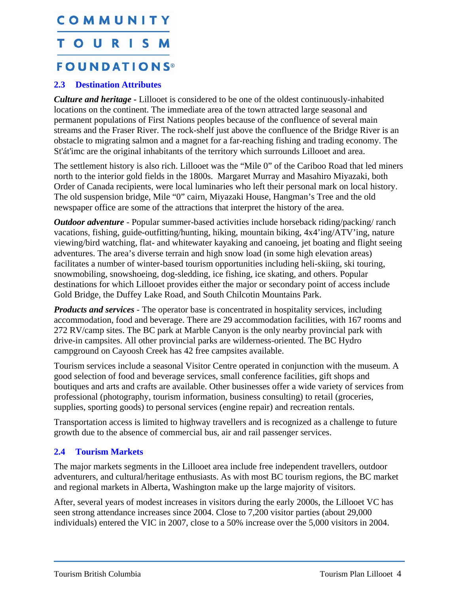## <span id="page-5-0"></span>COMMUNITY TOURISM **FOUNDATIONS®**

#### <span id="page-5-1"></span>**2.3 Destination Attributes**

*Culture and heritage -* Lillooet is considered to be one of the oldest continuously-inhabited locations on the continent. The immediate area of the town attracted large seasonal and permanent populations of First Nations peoples because of the confluence of several main streams and the Fraser River. The rock-shelf just above the confluence of the Bridge River is an obstacle to migrating salmon and a magnet for a far-reaching fishing and trading economy. The St'át'imc are the original inhabitants of the territory which surrounds Lillooet and area.

The settlement history is also rich. Lillooet was the "Mile 0" of the Cariboo Road that led miners north to the interior gold fields in the 1800s. Margaret Murray and Masahiro Miyazaki, both Order of Canada recipients, were local luminaries who left their personal mark on local history. The old suspension bridge, Mile "0" cairn, Miyazaki House, Hangman's Tree and the old newspaper office are some of the attractions that interpret the history of the area.

*Outdoor adventure* - Popular summer-based activities include horseback riding/packing/ ranch vacations, fishing, guide-outfitting/hunting, hiking, mountain biking, 4x4'ing/ATV'ing, nature viewing/bird watching, flat- and whitewater kayaking and canoeing, jet boating and flight seeing adventures. The area's diverse terrain and high snow load (in some high elevation areas) facilitates a number of winter-based tourism opportunities including heli-skiing, ski touring, snowmobiling, snowshoeing, dog-sledding, ice fishing, ice skating, and others. Popular destinations for which Lillooet provides either the major or secondary point of access include Gold Bridge, the Duffey Lake Road, and South Chilcotin Mountains Park.

*Products and services* - The operator base is concentrated in hospitality services, including accommodation, food and beverage. There are 29 accommodation facilities, with 167 rooms and 272 RV/camp sites. The BC park at Marble Canyon is the only nearby provincial park with drive-in campsites. All other provincial parks are wilderness-oriented. The BC Hydro campground on Cayoosh Creek has 42 free campsites available.

Tourism services include a seasonal Visitor Centre operated in conjunction with the museum. A good selection of food and beverage services, small conference facilities, gift shops and boutiques and arts and crafts are available. Other businesses offer a wide variety of services from professional (photography, tourism information, business consulting) to retail (groceries, supplies, sporting goods) to personal services (engine repair) and recreation rentals.

Transportation access is limited to highway travellers and is recognized as a challenge to future growth due to the absence of commercial bus, air and rail passenger services.

#### <span id="page-5-2"></span>**2.4 Tourism Markets**

The major markets segments in the Lillooet area include free independent travellers, outdoor adventurers, and cultural/heritage enthusiasts. As with most BC tourism regions, the BC market and regional markets in Alberta, Washington make up the large majority of visitors.

After, several years of modest increases in visitors during the early 2000s, the Lillooet VC has seen strong attendance increases since 2004. Close to 7,200 visitor parties (about 29,000 individuals) entered the VIC in 2007, close to a 50% increase over the 5,000 visitors in 2004.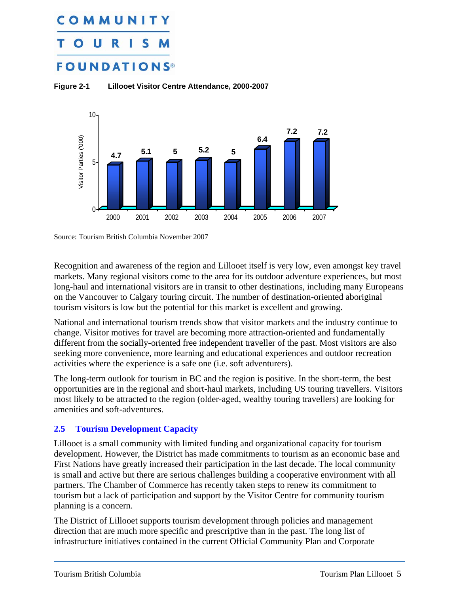## <span id="page-6-0"></span>COMMUNIT O **FOUNDATIONS**





Source: Tourism British Columbia November 2007

Recognition and awareness of the region and Lillooet itself is very low, even amongst key travel markets. Many regional visitors come to the area for its outdoor adventure experiences, but most long-haul and international visitors are in transit to other destinations, including many Europeans on the Vancouver to Calgary touring circuit. The number of destination-oriented aboriginal tourism visitors is low but the potential for this market is excellent and growing.

National and international tourism trends show that visitor markets and the industry continue to change. Visitor motives for travel are becoming more attraction-oriented and fundamentally different from the socially-oriented free independent traveller of the past. Most visitors are also seeking more convenience, more learning and educational experiences and outdoor recreation activities where the experience is a safe one (i.e. soft adventurers).

The long-term outlook for tourism in BC and the region is positive. In the short-term, the best opportunities are in the regional and short-haul markets, including US touring travellers. Visitors most likely to be attracted to the region (older-aged, wealthy touring travellers) are looking for amenities and soft-adventures.

#### <span id="page-6-1"></span>**2.5 Tourism Development Capacity**

Lillooet is a small community with limited funding and organizational capacity for tourism development. However, the District has made commitments to tourism as an economic base and First Nations have greatly increased their participation in the last decade. The local community is small and active but there are serious challenges building a cooperative environment with all partners. The Chamber of Commerce has recently taken steps to renew its commitment to tourism but a lack of participation and support by the Visitor Centre for community tourism planning is a concern.

The District of Lillooet supports tourism development through policies and management direction that are much more specific and prescriptive than in the past. The long list of infrastructure initiatives contained in the current Official Community Plan and Corporate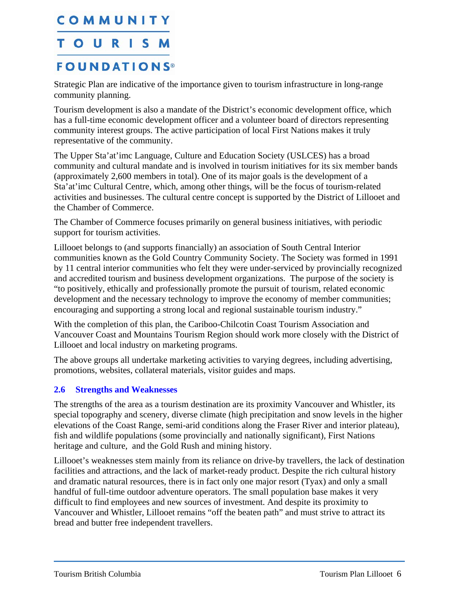### <span id="page-7-0"></span>TOURISM

### **FOUNDATIONS®**

Strategic Plan are indicative of the importance given to tourism infrastructure in long-range community planning.

Tourism development is also a mandate of the District's economic development office, which has a full-time economic development officer and a volunteer board of directors representing community interest groups. The active participation of local First Nations makes it truly representative of the community.

The Upper Sta'at'imc Language, Culture and Education Society (USLCES) has a broad community and cultural mandate and is involved in tourism initiatives for its six member bands (approximately 2,600 members in total). One of its major goals is the development of a Sta'at'imc Cultural Centre, which, among other things, will be the focus of tourism-related activities and businesses. The cultural centre concept is supported by the District of Lillooet and the Chamber of Commerce.

The Chamber of Commerce focuses primarily on general business initiatives, with periodic support for tourism activities.

Lillooet belongs to (and supports financially) an association of South Central Interior communities known as the Gold Country Community Society. The Society was formed in 1991 by 11 central interior communities who felt they were under-serviced by provincially recognized and accredited tourism and business development organizations. The purpose of the society is "to positively, ethically and professionally promote the pursuit of tourism, related economic development and the necessary technology to improve the economy of member communities; encouraging and supporting a strong local and regional sustainable tourism industry."

With the completion of this plan, the Cariboo-Chilcotin Coast Tourism Association and Vancouver Coast and Mountains Tourism Region should work more closely with the District of Lillooet and local industry on marketing programs.

The above groups all undertake marketing activities to varying degrees, including advertising, promotions, websites, collateral materials, visitor guides and maps.

#### <span id="page-7-1"></span>**2.6 Strengths and Weaknesses**

The strengths of the area as a tourism destination are its proximity Vancouver and Whistler, its special topography and scenery, diverse climate (high precipitation and snow levels in the higher elevations of the Coast Range, semi-arid conditions along the Fraser River and interior plateau), fish and wildlife populations (some provincially and nationally significant), First Nations heritage and culture, and the Gold Rush and mining history.

Lillooet's weaknesses stem mainly from its reliance on drive-by travellers, the lack of destination facilities and attractions, and the lack of market-ready product. Despite the rich cultural history and dramatic natural resources, there is in fact only one major resort (Tyax) and only a small handful of full-time outdoor adventure operators. The small population base makes it very difficult to find employees and new sources of investment. And despite its proximity to Vancouver and Whistler, Lillooet remains "off the beaten path" and must strive to attract its bread and butter free independent travellers.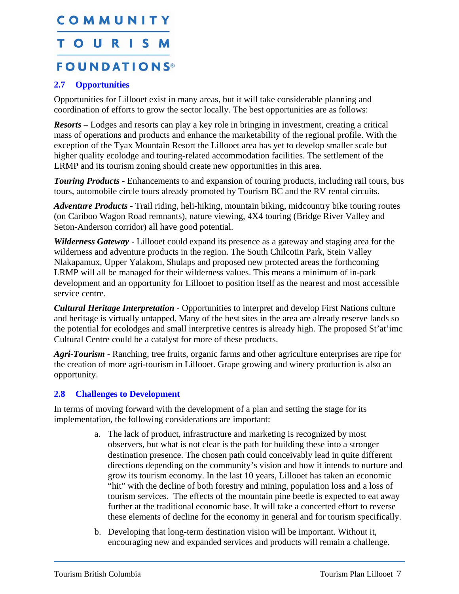## <span id="page-8-0"></span>COMMUNITY TOURISM **FOUNDATIONS®**

#### <span id="page-8-1"></span>**2.7 Opportunities**

Opportunities for Lillooet exist in many areas, but it will take considerable planning and coordination of efforts to grow the sector locally. The best opportunities are as follows:

*Resorts* – Lodges and resorts can play a key role in bringing in investment, creating a critical mass of operations and products and enhance the marketability of the regional profile. With the exception of the Tyax Mountain Resort the Lillooet area has yet to develop smaller scale but higher quality ecolodge and touring-related accommodation facilities. The settlement of the LRMP and its tourism zoning should create new opportunities in this area.

*Touring Products* - Enhancements to and expansion of touring products, including rail tours, bus tours, automobile circle tours already promoted by Tourism BC and the RV rental circuits.

*Adventure Products* - Trail riding, heli-hiking, mountain biking, midcountry bike touring routes (on Cariboo Wagon Road remnants), nature viewing, 4X4 touring (Bridge River Valley and Seton-Anderson corridor) all have good potential.

*Wilderness Gateway* - Lillooet could expand its presence as a gateway and staging area for the wilderness and adventure products in the region. The South Chilcotin Park, Stein Valley Nlakapamux, Upper Yalakom, Shulaps and proposed new protected areas the forthcoming LRMP will all be managed for their wilderness values. This means a minimum of in-park development and an opportunity for Lillooet to position itself as the nearest and most accessible service centre.

*Cultural Heritage Interpretation* - Opportunities to interpret and develop First Nations culture and heritage is virtually untapped. Many of the best sites in the area are already reserve lands so the potential for ecolodges and small interpretive centres is already high. The proposed St'at'imc Cultural Centre could be a catalyst for more of these products.

*Agri-Tourism* - Ranching, tree fruits, organic farms and other agriculture enterprises are ripe for the creation of more agri-tourism in Lillooet. Grape growing and winery production is also an opportunity.

#### <span id="page-8-2"></span>**2.8 Challenges to Development**

In terms of moving forward with the development of a plan and setting the stage for its implementation, the following considerations are important:

- a. The lack of product, infrastructure and marketing is recognized by most observers, but what is not clear is the path for building these into a stronger destination presence. The chosen path could conceivably lead in quite different directions depending on the community's vision and how it intends to nurture and grow its tourism economy. In the last 10 years, Lillooet has taken an economic "hit" with the decline of both forestry and mining, population loss and a loss of tourism services. The effects of the mountain pine beetle is expected to eat away further at the traditional economic base. It will take a concerted effort to reverse these elements of decline for the economy in general and for tourism specifically.
- b. Developing that long-term destination vision will be important. Without it, encouraging new and expanded services and products will remain a challenge.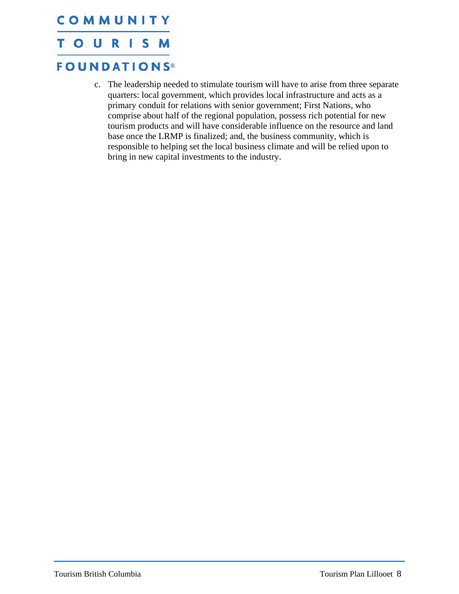## COMMUNITY **TOURISM FOUNDATIONS®**

c. The leadership needed to stimulate tourism will have to arise from three separate quarters: local government, which provides local infrastructure and acts as a primary conduit for relations with senior government; First Nations, who comprise about half of the regional population, possess rich potential for new tourism products and will have considerable influence on the resource and land base once the LRMP is finalized; and, the business community, which is responsible to helping set the local business climate and will be relied upon to bring in new capital investments to the industry.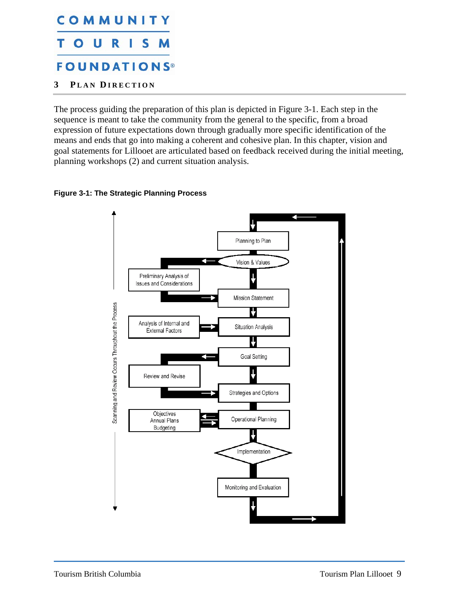#### <span id="page-10-0"></span>COMMUNITY  $\mathsf{o}$   $\mathsf{u}$ T. R S. **FOUNDATIONS®**

<span id="page-10-1"></span>**3 P LAN D IRECTION**

The process guiding the preparation of this plan is depicted in [Figure 3-1.](#page-10-2) Each step in the sequence is meant to take the community from the general to the specific, from a broad expression of future expectations down through gradually more specific identification of the means and ends that go into making a coherent and cohesive plan. In this chapter, vision and goal statements for Lillooet are articulated based on feedback received during the initial meeting, planning workshops (2) and current situation analysis.

<span id="page-10-2"></span>

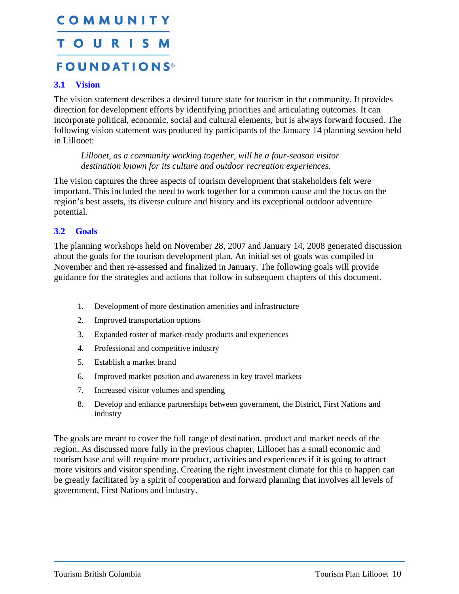## <span id="page-11-0"></span>COMMUNITY **TOURISM FOUNDATIONS®**

#### <span id="page-11-1"></span>**3.1 Vision**

The vision statement describes a desired future state for tourism in the community. It provides direction for development efforts by identifying priorities and articulating outcomes. It can incorporate political, economic, social and cultural elements, but is always forward focused. The following vision statement was produced by participants of the January 14 planning session held in Lillooet:

*Lillooet, as a community working together, will be a four-season visitor destination known for its culture and outdoor recreation experiences.* 

The vision captures the three aspects of tourism development that stakeholders felt were important. This included the need to work together for a common cause and the focus on the region's best assets, its diverse culture and history and its exceptional outdoor adventure potential.

#### <span id="page-11-2"></span>**3.2 Goals**

The planning workshops held on November 28, 2007 and January 14, 2008 generated discussion about the goals for the tourism development plan. An initial set of goals was compiled in November and then re-assessed and finalized in January. The following goals will provide guidance for the strategies and actions that follow in subsequent chapters of this document.

- 1. Development of more destination amenities and infrastructure
- 2. Improved transportation options
- 3. Expanded roster of market-ready products and experiences
- 4. Professional and competitive industry
- 5. Establish a market brand
- 6. Improved market position and awareness in key travel markets
- 7. Increased visitor volumes and spending
- 8. Develop and enhance partnerships between government, the District, First Nations and industry

The goals are meant to cover the full range of destination, product and market needs of the region. As discussed more fully in the previous chapter, Lillooet has a small economic and tourism base and will require more product, activities and experiences if it is going to attract more visitors and visitor spending. Creating the right investment climate for this to happen can be greatly facilitated by a spirit of cooperation and forward planning that involves all levels of government, First Nations and industry.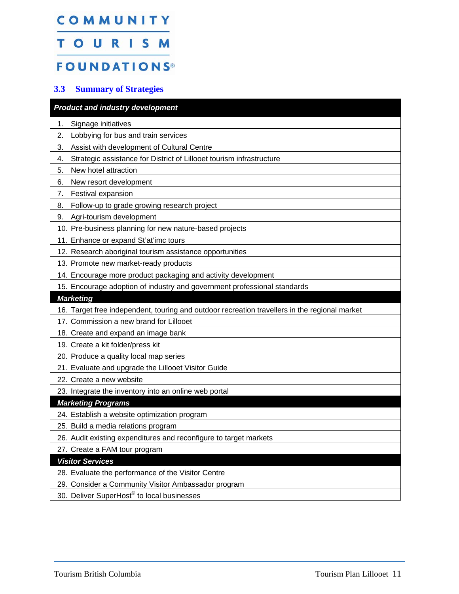## <span id="page-12-0"></span>COMMUNITY TOURISM

## **FOUNDATIONS®**

#### **3.3 Summary of Strategies**

<span id="page-12-1"></span>

| <b>Product and industry development</b>                                                           |
|---------------------------------------------------------------------------------------------------|
| Signage initiatives<br>1.                                                                         |
| Lobbying for bus and train services<br>2.                                                         |
| Assist with development of Cultural Centre<br>3.                                                  |
| Strategic assistance for District of Lillooet tourism infrastructure<br>4.                        |
| New hotel attraction<br>5.                                                                        |
| New resort development<br>6.                                                                      |
| Festival expansion<br>7.                                                                          |
| Follow-up to grade growing research project<br>8.                                                 |
| Agri-tourism development<br>9.                                                                    |
| 10. Pre-business planning for new nature-based projects                                           |
| 11. Enhance or expand St'at'imc tours                                                             |
| 12. Research aboriginal tourism assistance opportunities                                          |
| 13. Promote new market-ready products                                                             |
| 14. Encourage more product packaging and activity development                                     |
| 15. Encourage adoption of industry and government professional standards                          |
| <b>Marketing</b>                                                                                  |
|                                                                                                   |
| 16. Target free independent, touring and outdoor recreation travellers in the regional market     |
| 17. Commission a new brand for Lillooet                                                           |
| 18. Create and expand an image bank                                                               |
| 19. Create a kit folder/press kit                                                                 |
| 20. Produce a quality local map series                                                            |
| 21. Evaluate and upgrade the Lillooet Visitor Guide                                               |
| 22. Create a new website                                                                          |
| 23. Integrate the inventory into an online web portal                                             |
| <b>Marketing Programs</b>                                                                         |
| 24. Establish a website optimization program                                                      |
| 25. Build a media relations program                                                               |
| 26. Audit existing expenditures and reconfigure to target markets                                 |
| 27. Create a FAM tour program                                                                     |
| <b>Visitor Services</b>                                                                           |
| 28. Evaluate the performance of the Visitor Centre                                                |
| 29. Consider a Community Visitor Ambassador program<br>30. Deliver SuperHost® to local businesses |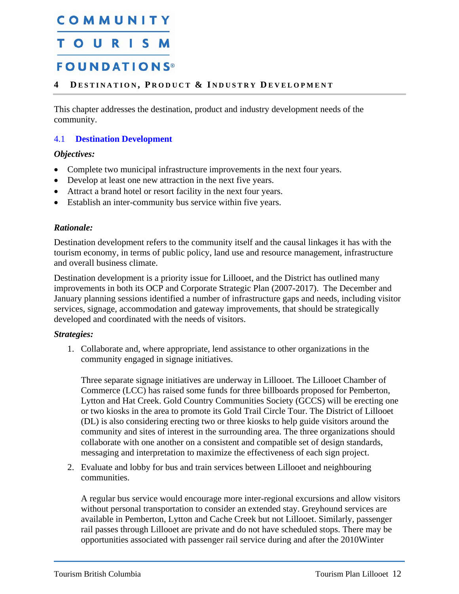### <span id="page-13-3"></span><span id="page-13-0"></span>TOURISM

### **FOUNDATIONS®**

#### <span id="page-13-1"></span>**4 D ESTINATION , P RODUCT & I NDUSTRY D EVELOPMENT**

This chapter addresses the destination, product and industry development needs of the community.

#### <span id="page-13-2"></span>4.1 **Destination Development**

#### *Objectives:*

- Complete two municipal infrastructure improvements in the next four years.
- Develop at least one new attraction in the next five years.
- Attract a brand hotel or resort facility in the next four years.
- Establish an inter-community bus service within five years.

#### *Rationale:*

Destination development refers to the community itself and the causal linkages it has with the tourism economy, in terms of public policy, land use and resource management, infrastructure and overall business climate.

Destination development is a priority issue for Lillooet, and the District has outlined many improvements in both its OCP and Corporate Strategic Plan (2007-2017). The December and January planning sessions identified a number of infrastructure gaps and needs, including visitor services, signage, accommodation and gateway improvements, that should be strategically developed and coordinated with the needs of visitors.

#### *Strategies:*

1. Collaborate and, where appropriate, lend assistance to other organizations in the community engaged in signage initiatives.

Three separate signage initiatives are underway in Lillooet. The Lillooet Chamber of Commerce (LCC) has raised some funds for three billboards proposed for Pemberton, Lytton and Hat Creek. Gold Country Communities Society (GCCS) will be erecting one or two kiosks in the area to promote its Gold Trail Circle Tour. The District of Lillooet (DL) is also considering erecting two or three kiosks to help guide visitors around the community and sites of interest in the surrounding area. The three organizations should collaborate with one another on a consistent and compatible set of design standards, messaging and interpretation to maximize the effectiveness of each sign project.

2. Evaluate and lobby for bus and train services between Lillooet and neighbouring communities.

A regular bus service would encourage more inter-regional excursions and allow visitors without personal transportation to consider an extended stay. Greyhound services are available in Pemberton, Lytton and Cache Creek but not Lillooet. Similarly, passenger rail passes through Lillooet are private and do not have scheduled stops. There may be opportunities associated with passenger rail service during and after the 2010Winter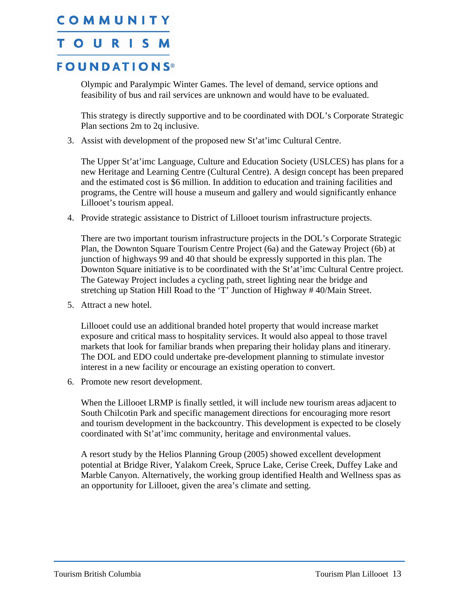### TOURISM

### **FOUNDATIONS®**

Olympic and Paralympic Winter Games. The level of demand, service options and feasibility of bus and rail services are unknown and would have to be evaluated.

This strategy is directly supportive and to be coordinated with DOL's Corporate Strategic Plan sections 2m to 2q inclusive.

3. Assist with development of the proposed new St'at'imc Cultural Centre.

The Upper St'at'imc Language, Culture and Education Society (USLCES) has plans for a new Heritage and Learning Centre (Cultural Centre). A design concept has been prepared and the estimated cost is \$6 million. In addition to education and training facilities and programs, the Centre will house a museum and gallery and would significantly enhance Lillooet's tourism appeal.

4. Provide strategic assistance to District of Lillooet tourism infrastructure projects.

There are two important tourism infrastructure projects in the DOL's Corporate Strategic Plan, the Downton Square Tourism Centre Project (6a) and the Gateway Project (6b) at junction of highways 99 and 40 that should be expressly supported in this plan. The Downton Square initiative is to be coordinated with the St'at'imc Cultural Centre project. The Gateway Project includes a cycling path, street lighting near the bridge and stretching up Station Hill Road to the 'T' Junction of Highway # 40/Main Street.

5. Attract a new hotel.

Lillooet could use an additional branded hotel property that would increase market exposure and critical mass to hospitality services. It would also appeal to those travel markets that look for familiar brands when preparing their holiday plans and itinerary. The DOL and EDO could undertake pre-development planning to stimulate investor interest in a new facility or encourage an existing operation to convert.

6. Promote new resort development.

When the Lillooet LRMP is finally settled, it will include new tourism areas adjacent to South Chilcotin Park and specific management directions for encouraging more resort and tourism development in the backcountry. This development is expected to be closely coordinated with St'at'imc community, heritage and environmental values.

A resort study by the Helios Planning Group (2005) showed excellent development potential at Bridge River, Yalakom Creek, Spruce Lake, Cerise Creek, Duffey Lake and Marble Canyon. Alternatively, the working group identified Health and Wellness spas as an opportunity for Lillooet, given the area's climate and setting.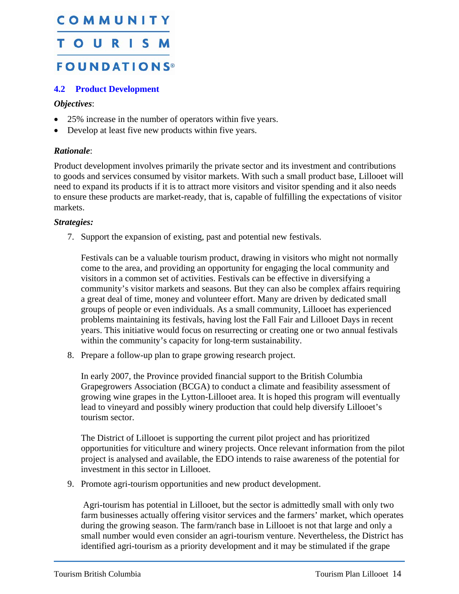## <span id="page-15-2"></span><span id="page-15-0"></span>COMMUNITY TOURISM **FOUNDATIONS®**

#### <span id="page-15-1"></span>**4.2 Product Development**

#### *Objectives*:

- 25% increase in the number of operators within five years.
- Develop at least five new products within five years.

#### *Rationale*:

Product development involves primarily the private sector and its investment and contributions to goods and services consumed by visitor markets. With such a small product base, Lillooet will need to expand its products if it is to attract more visitors and visitor spending and it also needs to ensure these products are market-ready, that is, capable of fulfilling the expectations of visitor markets.

#### *Strategies:*

7. Support the expansion of existing, past and potential new festivals.

Festivals can be a valuable tourism product, drawing in visitors who might not normally come to the area, and providing an opportunity for engaging the local community and visitors in a common set of activities. Festivals can be effective in diversifying a community's visitor markets and seasons. But they can also be complex affairs requiring a great deal of time, money and volunteer effort. Many are driven by dedicated small groups of people or even individuals. As a small community, Lillooet has experienced problems maintaining its festivals, having lost the Fall Fair and Lillooet Days in recent years. This initiative would focus on resurrecting or creating one or two annual festivals within the community's capacity for long-term sustainability.

8. Prepare a follow-up plan to grape growing research project.

In early 2007, the Province provided financial support to the British Columbia Grapegrowers Association (BCGA) to conduct a climate and feasibility assessment of growing wine grapes in the Lytton-Lillooet area. It is hoped this program will eventually lead to vineyard and possibly winery production that could help diversify Lillooet's tourism sector.

The District of Lillooet is supporting the current pilot project and has prioritized opportunities for viticulture and winery projects. Once relevant information from the pilot project is analysed and available, the EDO intends to raise awareness of the potential for investment in this sector in Lillooet.

9. Promote agri-tourism opportunities and new product development.

 Agri-tourism has potential in Lillooet, but the sector is admittedly small with only two farm businesses actually offering visitor services and the farmers' market, which operates during the growing season. The farm/ranch base in Lillooet is not that large and only a small number would even consider an agri-tourism venture. Nevertheless, the District has identified agri-tourism as a priority development and it may be stimulated if the grape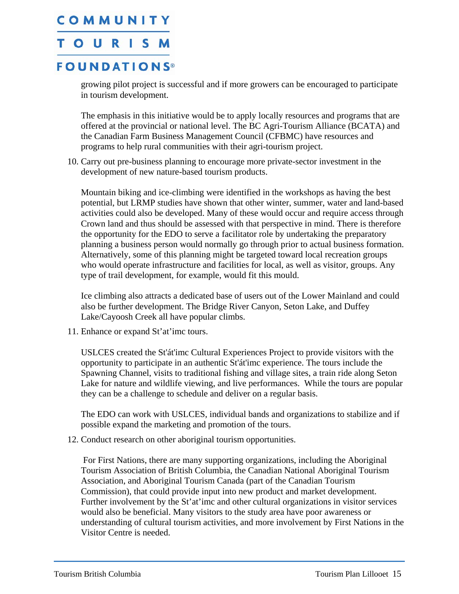### **TOURISM**

### **FOUNDATIONS®**

growing pilot project is successful and if more growers can be encouraged to participate in tourism development.

The emphasis in this initiative would be to apply locally resources and programs that are offered at the provincial or national level. The BC Agri-Tourism Alliance (BCATA) and the Canadian Farm Business Management Council (CFBMC) have resources and programs to help rural communities with their agri-tourism project.

10. Carry out pre-business planning to encourage more private-sector investment in the development of new nature-based tourism products.

Mountain biking and ice-climbing were identified in the workshops as having the best potential, but LRMP studies have shown that other winter, summer, water and land-based activities could also be developed. Many of these would occur and require access through Crown land and thus should be assessed with that perspective in mind. There is therefore the opportunity for the EDO to serve a facilitator role by undertaking the preparatory planning a business person would normally go through prior to actual business formation. Alternatively, some of this planning might be targeted toward local recreation groups who would operate infrastructure and facilities for local, as well as visitor, groups. Any type of trail development, for example, would fit this mould.

Ice climbing also attracts a dedicated base of users out of the Lower Mainland and could also be further development. The Bridge River Canyon, Seton Lake, and Duffey Lake/Cayoosh Creek all have popular climbs.

11. Enhance or expand St'at'imc tours.

USLCES created the St'át'imc Cultural Experiences Project to provide visitors with the opportunity to participate in an authentic St'át'imc experience. The tours include the Spawning Channel, visits to traditional fishing and village sites, a train ride along Seton Lake for nature and wildlife viewing, and live performances. While the tours are popular they can be a challenge to schedule and deliver on a regular basis.

The EDO can work with USLCES, individual bands and organizations to stabilize and if possible expand the marketing and promotion of the tours.

12. Conduct research on other aboriginal tourism opportunities.

 For First Nations, there are many supporting organizations, including the Aboriginal Tourism Association of British Columbia, the Canadian National Aboriginal Tourism Association, and Aboriginal Tourism Canada (part of the Canadian Tourism Commission), that could provide input into new product and market development. Further involvement by the St'at'imc and other cultural organizations in visitor services would also be beneficial. Many visitors to the study area have poor awareness or understanding of cultural tourism activities, and more involvement by First Nations in the Visitor Centre is needed.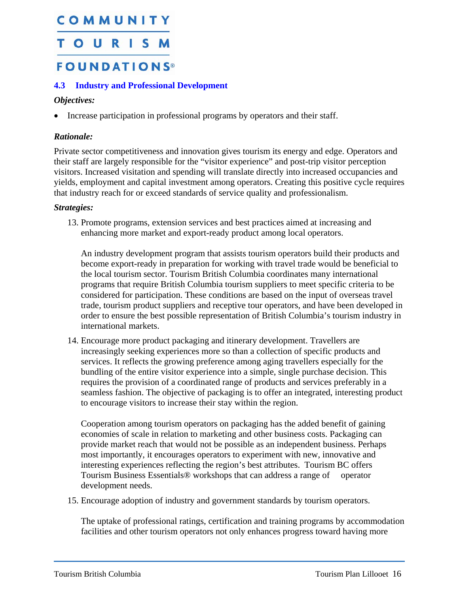### <span id="page-17-2"></span><span id="page-17-0"></span>TOURISM

### **FOUNDATIONS®**

#### <span id="page-17-1"></span>**4.3 Industry and Professional Development**

#### *Objectives:*

• Increase participation in professional programs by operators and their staff.

#### *Rationale:*

Private sector competitiveness and innovation gives tourism its energy and edge. Operators and their staff are largely responsible for the "visitor experience" and post-trip visitor perception visitors. Increased visitation and spending will translate directly into increased occupancies and yields, employment and capital investment among operators. Creating this positive cycle requires that industry reach for or exceed standards of service quality and professionalism.

#### *Strategies:*

13. Promote programs, extension services and best practices aimed at increasing and enhancing more market and export-ready product among local operators.

An industry development program that assists tourism operators build their products and become export-ready in preparation for working with travel trade would be beneficial to the local tourism sector. Tourism British Columbia coordinates many international programs that require British Columbia tourism suppliers to meet specific criteria to be considered for participation. These conditions are based on the input of overseas travel trade, tourism product suppliers and receptive tour operators, and have been developed in order to ensure the best possible representation of British Columbia's tourism industry in international markets.

14. Encourage more product packaging and itinerary development. Travellers are increasingly seeking experiences more so than a collection of specific products and services. It reflects the growing preference among aging travellers especially for the bundling of the entire visitor experience into a simple, single purchase decision. This requires the provision of a coordinated range of products and services preferably in a seamless fashion. The objective of packaging is to offer an integrated, interesting product to encourage visitors to increase their stay within the region.

Cooperation among tourism operators on packaging has the added benefit of gaining economies of scale in relation to marketing and other business costs. Packaging can provide market reach that would not be possible as an independent business. Perhaps most importantly, it encourages operators to experiment with new, innovative and interesting experiences reflecting the region's best attributes. Tourism BC offers Tourism Business Essentials® workshops that can address a range of operator development needs.

15. Encourage adoption of industry and government standards by tourism operators.

The uptake of professional ratings, certification and training programs by accommodation facilities and other tourism operators not only enhances progress toward having more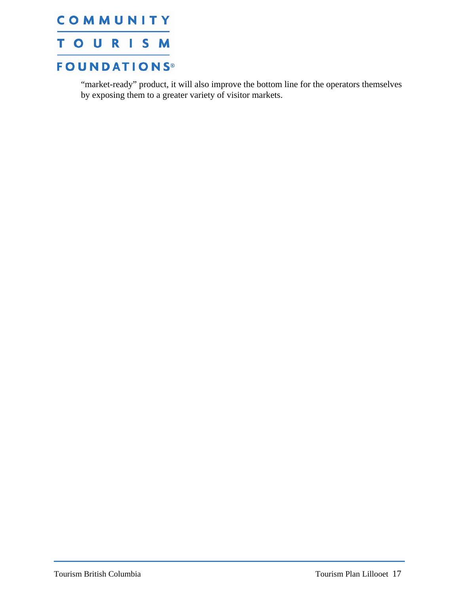

"market-ready" product, it will also improve the bottom line for the operators themselves by exposing them to a greater variety of visitor markets.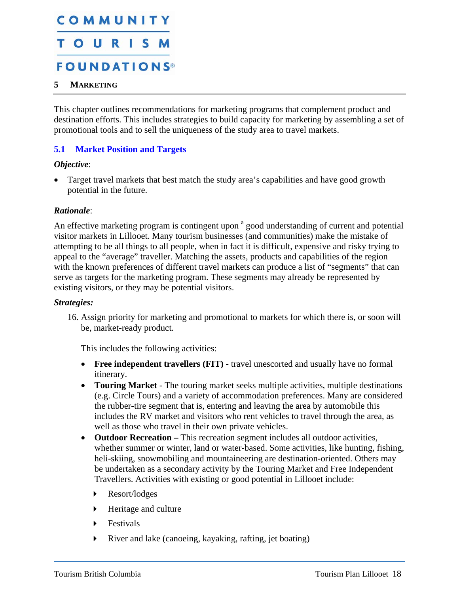## <span id="page-19-0"></span>COMMUNITY TOURISM **FOUNDATIONS®**

#### <span id="page-19-1"></span>**5 MARKETING**

This chapter outlines recommendations for marketing programs that complement product and destination efforts. This includes strategies to build capacity for marketing by assembling a set of promotional tools and to sell the uniqueness of the study area to travel markets.

#### <span id="page-19-2"></span>**5.1 Market Position and Targets**

#### *Objective*:

Target travel markets that best match the study area's capabilities and have good growth potential in the future.

#### *Rationale*:

An effective marketing program is contingent upon <sup>a</sup> good understanding of current and potential visitor markets in Lillooet. Many tourism businesses (and communities) make the mistake of attempting to be all things to all people, when in fact it is difficult, expensive and risky trying to appeal to the "average" traveller. Matching the assets, products and capabilities of the region with the known preferences of different travel markets can produce a list of "segments" that can serve as targets for the marketing program. These segments may already be represented by existing visitors, or they may be potential visitors.

#### *Strategies:*

16. Assign priority for marketing and promotional to markets for which there is, or soon will be, market-ready product.

This includes the following activities:

- **Free independent travellers (FIT)** travel unescorted and usually have no formal itinerary.
- **Touring Market** The touring market seeks multiple activities, multiple destinations (e.g. Circle Tours) and a variety of accommodation preferences. Many are considered the rubber-tire segment that is, entering and leaving the area by automobile this includes the RV market and visitors who rent vehicles to travel through the area, as well as those who travel in their own private vehicles.
- **Outdoor Recreation** This recreation segment includes all outdoor activities, whether summer or winter, land or water-based. Some activities, like hunting, fishing, heli-skiing, snowmobiling and mountaineering are destination-oriented. Others may be undertaken as a secondary activity by the Touring Market and Free Independent Travellers. Activities with existing or good potential in Lillooet include:
	- Resort/lodges
	- Heritage and culture
	- **Festivals**
	- River and lake (canoeing, kayaking, rafting, jet boating)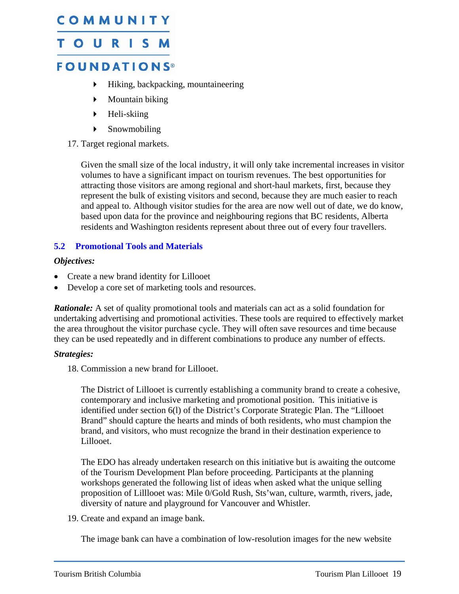### <span id="page-20-0"></span>TOURISM

### **FOUNDATIONS®**

- Hiking, backpacking, mountaineering
- Mountain biking
- $\blacktriangleright$  Heli-skiing
- Snowmobiling

#### 17. Target regional markets.

Given the small size of the local industry, it will only take incremental increases in visitor volumes to have a significant impact on tourism revenues. The best opportunities for attracting those visitors are among regional and short-haul markets, first, because they represent the bulk of existing visitors and second, because they are much easier to reach and appeal to. Although visitor studies for the area are now well out of date, we do know, based upon data for the province and neighbouring regions that BC residents, Alberta residents and Washington residents represent about three out of every four travellers.

#### <span id="page-20-1"></span>**5.2 Promotional Tools and Materials**

#### *Objectives:*

- Create a new brand identity for Lillooet
- Develop a core set of marketing tools and resources.

*Rationale:* A set of quality promotional tools and materials can act as a solid foundation for undertaking advertising and promotional activities. These tools are required to effectively market the area throughout the visitor purchase cycle. They will often save resources and time because they can be used repeatedly and in different combinations to produce any number of effects.

#### *Strategies:*

18. Commission a new brand for Lillooet.

The District of Lillooet is currently establishing a community brand to create a cohesive, contemporary and inclusive marketing and promotional position. This initiative is identified under section 6(l) of the District's Corporate Strategic Plan. The "Lillooet Brand" should capture the hearts and minds of both residents, who must champion the brand, and visitors, who must recognize the brand in their destination experience to Lillooet.

The EDO has already undertaken research on this initiative but is awaiting the outcome of the Tourism Development Plan before proceeding. Participants at the planning workshops generated the following list of ideas when asked what the unique selling proposition of Lilllooet was: Mile 0/Gold Rush, Sts'wan, culture, warmth, rivers, jade, diversity of nature and playground for Vancouver and Whistler.

19. Create and expand an image bank.

The image bank can have a combination of low-resolution images for the new website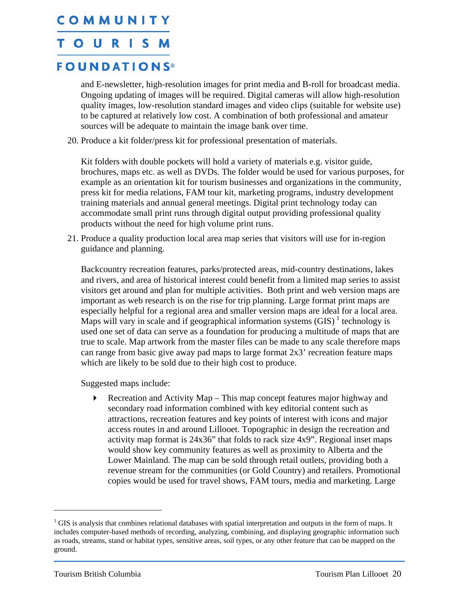#### <span id="page-21-0"></span>TOURISM

### **FOUNDATIONS®**

and E-newsletter, high-resolution images for print media and B-roll for broadcast media. Ongoing updating of images will be required. Digital cameras will allow high-resolution quality images, low-resolution standard images and video clips (suitable for website use) to be captured at relatively low cost. A combination of both professional and amateur sources will be adequate to maintain the image bank over time.

20. Produce a kit folder/press kit for professional presentation of materials.

Kit folders with double pockets will hold a variety of materials e.g. visitor guide, brochures, maps etc. as well as DVDs. The folder would be used for various purposes, for example as an orientation kit for tourism businesses and organizations in the community, press kit for media relations, FAM tour kit, marketing programs, industry development training materials and annual general meetings. Digital print technology today can accommodate small print runs through digital output providing professional quality products without the need for high volume print runs.

21. Produce a quality production local area map series that visitors will use for in-region guidance and planning.

Backcountry recreation features, parks/protected areas, mid-country destinations, lakes and rivers, and area of historical interest could benefit from a limited map series to assist visitors get around and plan for multiple activities. Both print and web version maps are important as web research is on the rise for trip planning. Large format print maps are especially helpful for a regional area and smaller version maps are ideal for a local area. Maps will vary in scale and if geographical information systems  $(GIS)^1$  $(GIS)^1$  technology is used one set of data can serve as a foundation for producing a multitude of maps that are true to scale. Map artwork from the master files can be made to any scale therefore maps can range from basic give away pad maps to large format 2x3' recreation feature maps which are likely to be sold due to their high cost to produce.

Suggested maps include:

Recreation and Activity Map – This map concept features major highway and secondary road information combined with key editorial content such as attractions, recreation features and key points of interest with icons and major access routes in and around Lillooet. Topographic in design the recreation and activity map format is 24x36" that folds to rack size 4x9". Regional inset maps would show key community features as well as proximity to Alberta and the Lower Mainland. The map can be sold through retail outlets, providing both a revenue stream for the communities (or Gold Country) and retailers. Promotional copies would be used for travel shows, FAM tours, media and marketing. Large

<u>.</u>

 $1$  GIS is analysis that combines relational databases with spatial interpretation and outputs in the form of maps. It includes computer-based methods of recording, analyzing, combining, and displaying geographic information such as roads, streams, stand or habitat types, sensitive areas, soil types, or any other feature that can be mapped on the ground.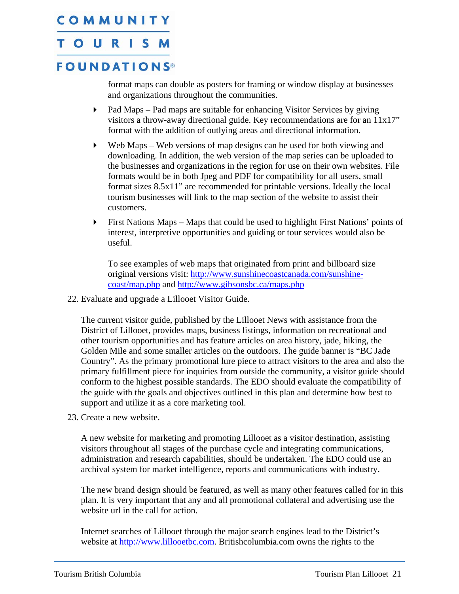#### TOURISM

### **FOUNDATIONS®**

format maps can double as posters for framing or window display at businesses and organizations throughout the communities.

- Pad Maps Pad maps are suitable for enhancing Visitor Services by giving visitors a throw-away directional guide. Key recommendations are for an 11x17" format with the addition of outlying areas and directional information.
- Web Maps Web versions of map designs can be used for both viewing and downloading. In addition, the web version of the map series can be uploaded to the businesses and organizations in the region for use on their own websites. File formats would be in both Jpeg and PDF for compatibility for all users, small format sizes 8.5x11" are recommended for printable versions. Ideally the local tourism businesses will link to the map section of the website to assist their customers.
- First Nations Maps Maps that could be used to highlight First Nations' points of interest, interpretive opportunities and guiding or tour services would also be useful.

To see examples of web maps that originated from print and billboard size original versions visit: [http://www.sunshinecoastcanada.com/sunshine](http://www.sunshinecoastcanada.com/sunshine-coast/map.php)[coast/map.php](http://www.sunshinecoastcanada.com/sunshine-coast/map.php) and <http://www.gibsonsbc.ca/maps.php>

22. Evaluate and upgrade a Lillooet Visitor Guide.

The current visitor guide, published by the Lillooet News with assistance from the District of Lillooet, provides maps, business listings, information on recreational and other tourism opportunities and has feature articles on area history, jade, hiking, the Golden Mile and some smaller articles on the outdoors. The guide banner is "BC Jade Country". As the primary promotional lure piece to attract visitors to the area and also the primary fulfillment piece for inquiries from outside the community, a visitor guide should conform to the highest possible standards. The EDO should evaluate the compatibility of the guide with the goals and objectives outlined in this plan and determine how best to support and utilize it as a core marketing tool.

23. Create a new website.

A new website for marketing and promoting Lillooet as a visitor destination, assisting visitors throughout all stages of the purchase cycle and integrating communications, administration and research capabilities, should be undertaken. The EDO could use an archival system for market intelligence, reports and communications with industry.

The new brand design should be featured, as well as many other features called for in this plan. It is very important that any and all promotional collateral and advertising use the website url in the call for action.

Internet searches of Lillooet through the major search engines lead to the District's website at [http://www.lillooetbc.com.](http://www.lillooetbc.com/) Britishcolumbia.com owns the rights to the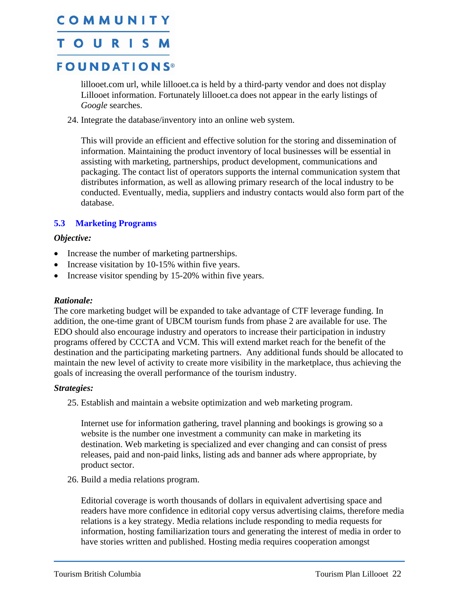### <span id="page-23-0"></span>TOURISM

### **FOUNDATIONS®**

lillooet.com url, while lillooet.ca is held by a third-party vendor and does not display Lillooet information. Fortunately lillooet.ca does not appear in the early listings of *Google* searches.

24. Integrate the database/inventory into an online web system.

This will provide an efficient and effective solution for the storing and dissemination of information. Maintaining the product inventory of local businesses will be essential in assisting with marketing, partnerships, product development, communications and packaging. The contact list of operators supports the internal communication system that distributes information, as well as allowing primary research of the local industry to be conducted. Eventually, media, suppliers and industry contacts would also form part of the database.

#### <span id="page-23-1"></span>**5.3 Marketing Programs**

#### *Objective:*

- Increase the number of marketing partnerships.
- Increase visitation by 10-15% within five years.
- Increase visitor spending by 15-20% within five years.

#### *Rationale:*

The core marketing budget will be expanded to take advantage of CTF leverage funding. In addition, the one-time grant of UBCM tourism funds from phase 2 are available for use. The EDO should also encourage industry and operators to increase their participation in industry programs offered by CCCTA and VCM. This will extend market reach for the benefit of the destination and the participating marketing partners. Any additional funds should be allocated to maintain the new level of activity to create more visibility in the marketplace, thus achieving the goals of increasing the overall performance of the tourism industry.

#### *Strategies:*

25. Establish and maintain a website optimization and web marketing program.

Internet use for information gathering, travel planning and bookings is growing so a website is the number one investment a community can make in marketing its destination. Web marketing is specialized and ever changing and can consist of press releases, paid and non-paid links, listing ads and banner ads where appropriate, by product sector.

26. Build a media relations program.

Editorial coverage is worth thousands of dollars in equivalent advertising space and readers have more confidence in editorial copy versus advertising claims, therefore media relations is a key strategy. Media relations include responding to media requests for information, hosting familiarization tours and generating the interest of media in order to have stories written and published. Hosting media requires cooperation amongst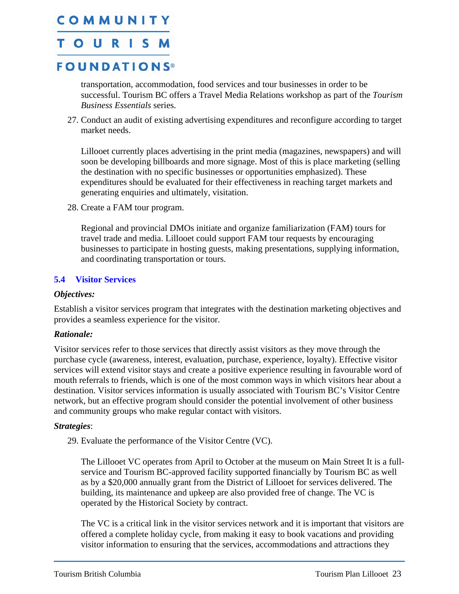### <span id="page-24-0"></span>**TOURISM**

### **FOUNDATIONS®**

transportation, accommodation, food services and tour businesses in order to be successful. Tourism BC offers a Travel Media Relations workshop as part of the *Tourism Business Essentials* series.

27. Conduct an audit of existing advertising expenditures and reconfigure according to target market needs.

Lillooet currently places advertising in the print media (magazines, newspapers) and will soon be developing billboards and more signage. Most of this is place marketing (selling the destination with no specific businesses or opportunities emphasized). These expenditures should be evaluated for their effectiveness in reaching target markets and generating enquiries and ultimately, visitation.

28. Create a FAM tour program.

Regional and provincial DMOs initiate and organize familiarization (FAM) tours for travel trade and media. Lillooet could support FAM tour requests by encouraging businesses to participate in hosting guests, making presentations, supplying information, and coordinating transportation or tours.

#### <span id="page-24-1"></span>**5.4 Visitor Services**

#### *Objectives:*

Establish a visitor services program that integrates with the destination marketing objectives and provides a seamless experience for the visitor.

#### *Rationale:*

Visitor services refer to those services that directly assist visitors as they move through the purchase cycle (awareness, interest, evaluation, purchase, experience, loyalty). Effective visitor services will extend visitor stays and create a positive experience resulting in favourable word of mouth referrals to friends, which is one of the most common ways in which visitors hear about a destination. Visitor services information is usually associated with Tourism BC's Visitor Centre network, but an effective program should consider the potential involvement of other business and community groups who make regular contact with visitors.

#### *Strategies*:

29. Evaluate the performance of the Visitor Centre (VC).

The Lillooet VC operates from April to October at the museum on Main Street It is a fullservice and Tourism BC-approved facility supported financially by Tourism BC as well as by a \$20,000 annually grant from the District of Lillooet for services delivered. The building, its maintenance and upkeep are also provided free of change. The VC is operated by the Historical Society by contract.

The VC is a critical link in the visitor services network and it is important that visitors are offered a complete holiday cycle, from making it easy to book vacations and providing visitor information to ensuring that the services, accommodations and attractions they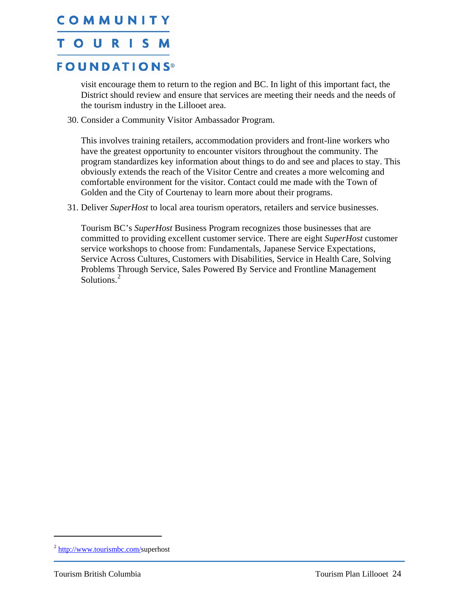#### <span id="page-25-0"></span>**TOURISM**

### **FOUNDATIONS®**

visit encourage them to return to the region and BC. In light of this important fact, the District should review and ensure that services are meeting their needs and the needs of the tourism industry in the Lillooet area.

30. Consider a Community Visitor Ambassador Program.

This involves training retailers, accommodation providers and front-line workers who have the greatest opportunity to encounter visitors throughout the community. The program standardizes key information about things to do and see and places to stay. This obviously extends the reach of the Visitor Centre and creates a more welcoming and comfortable environment for the visitor. Contact could me made with the Town of Golden and the City of Courtenay to learn more about their programs.

31. Deliver *SuperHost* to local area tourism operators, retailers and service businesses.

Tourism BC's *SuperHost* Business Program recognizes those businesses that are committed to providing excellent customer service. There are eight *SuperHost* customer service workshops to choose from: Fundamentals, Japanese Service Expectations, Service Across Cultures, Customers with Disabilities, Service in Health Care, Solving Problems Through Service, Sales Powered By Service and Frontline Management Solutions.<sup>[2](#page-25-0)</sup>

 $\overline{a}$ 

<sup>2</sup> http://www.tourismbc.com/superhost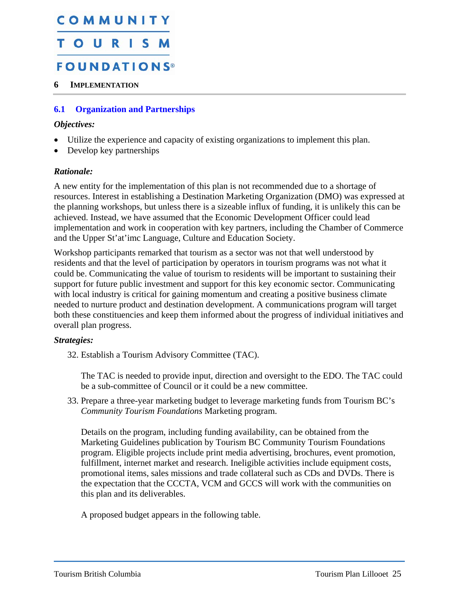## <span id="page-26-0"></span>COMMUNITY **TOURIS FOUNDATIONS®**

#### <span id="page-26-1"></span>**6 IMPLEMENTATION**

#### **6.1 Organization and Partnerships**

#### <span id="page-26-2"></span>*Objectives:*

- Utilize the experience and capacity of existing organizations to implement this plan.
- Develop key partnerships

#### *Rationale:*

A new entity for the implementation of this plan is not recommended due to a shortage of resources. Interest in establishing a Destination Marketing Organization (DMO) was expressed at the planning workshops, but unless there is a sizeable influx of funding, it is unlikely this can be achieved. Instead, we have assumed that the Economic Development Officer could lead implementation and work in cooperation with key partners, including the Chamber of Commerce and the Upper St'at'imc Language, Culture and Education Society.

Workshop participants remarked that tourism as a sector was not that well understood by residents and that the level of participation by operators in tourism programs was not what it could be. Communicating the value of tourism to residents will be important to sustaining their support for future public investment and support for this key economic sector. Communicating with local industry is critical for gaining momentum and creating a positive business climate needed to nurture product and destination development. A communications program will target both these constituencies and keep them informed about the progress of individual initiatives and overall plan progress.

#### *Strategies:*

32. Establish a Tourism Advisory Committee (TAC).

The TAC is needed to provide input, direction and oversight to the EDO. The TAC could be a sub-committee of Council or it could be a new committee.

33. Prepare a three-year marketing budget to leverage marketing funds from Tourism BC's *Community Tourism Foundations* Marketing program.

Details on the program, including funding availability, can be obtained from the Marketing Guidelines publication by Tourism BC Community Tourism Foundations program. Eligible projects include print media advertising, brochures, event promotion, fulfillment, internet market and research. Ineligible activities include equipment costs, promotional items, sales missions and trade collateral such as CDs and DVDs. There is the expectation that the CCCTA, VCM and GCCS will work with the communities on this plan and its deliverables.

A proposed budget appears in the following table.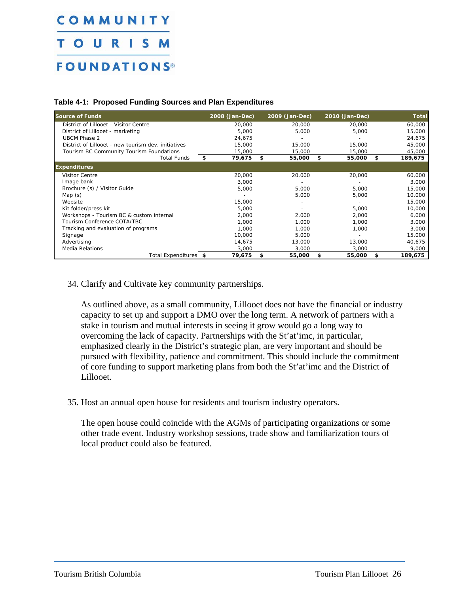## COMMUNITY **TOURISM FOUNDATIONS®**

#### **Table 4-1: Proposed Funding Sources and Plan Expenditures**

| <b>Source of Funds</b>                              | 2008 (Jan-Dec) | 2009 (Jan-Dec) | 2010 (Jan-Dec) | <b>Total</b>  |
|-----------------------------------------------------|----------------|----------------|----------------|---------------|
| District of Lillooet - Visitor Centre               | 20,000         | 20,000         | 20,000         | 60,000        |
| District of Lillooet - marketing                    | 5,000          | 5,000          | 5,000          | 15,000        |
| <b>UBCM Phase 2</b>                                 | 24.675         |                |                | 24,675        |
| District of Lillooet - new tourism dev. initiatives | 15,000         | 15,000         | 15,000         | 45,000        |
| Tourism BC Community Tourism Foundations            | 15,000         | 15,000         | 15,000         | 45,000        |
| <b>Total Funds</b>                                  | \$<br>79,675   | \$<br>55,000   | \$<br>55,000   | \$<br>189,675 |
| <b>Expenditures</b>                                 |                |                |                |               |
| <b>Visitor Centre</b>                               | 20,000         | 20,000         | 20,000         | 60,000        |
| Image bank                                          | 3.000          |                |                | 3,000         |
| Brochure (s) / Visitor Guide                        | 5,000          | 5,000          | 5,000          | 15,000        |
| Map $(s)$                                           |                | 5,000          | 5,000          | 10,000        |
| Website                                             | 15,000         |                |                | 15,000        |
| Kit folder/press kit                                | 5,000          |                | 5,000          | 10,000        |
| Workshops - Tourism BC & custom internal            | 2,000          | 2,000          | 2,000          | 6,000         |
| Tourism Conference COTA/TBC                         | 1,000          | 1,000          | 1,000          | 3,000         |
| Tracking and evaluation of programs                 | 1,000          | 1,000          | 1,000          | 3,000         |
| Signage                                             | 10,000         | 5,000          |                | 15,000        |
| Advertising                                         | 14.675         | 13,000         | 13,000         | 40,675        |
| <b>Media Relations</b>                              | 3,000          | 3,000          | 3,000          | 9,000         |
| Total Expenditures \$                               | 79,675         | 55,000<br>\$   | 55,000<br>\$   | 189,675<br>\$ |

#### 34. Clarify and Cultivate key community partnerships.

As outlined above, as a small community, Lillooet does not have the financial or industry capacity to set up and support a DMO over the long term. A network of partners with a stake in tourism and mutual interests in seeing it grow would go a long way to overcoming the lack of capacity. Partnerships with the St'at'imc, in particular, emphasized clearly in the District's strategic plan, are very important and should be pursued with flexibility, patience and commitment. This should include the commitment of core funding to support marketing plans from both the St'at'imc and the District of Lillooet.

#### 35. Host an annual open house for residents and tourism industry operators.

The open house could coincide with the AGMs of participating organizations or some other trade event. Industry workshop sessions, trade show and familiarization tours of local product could also be featured.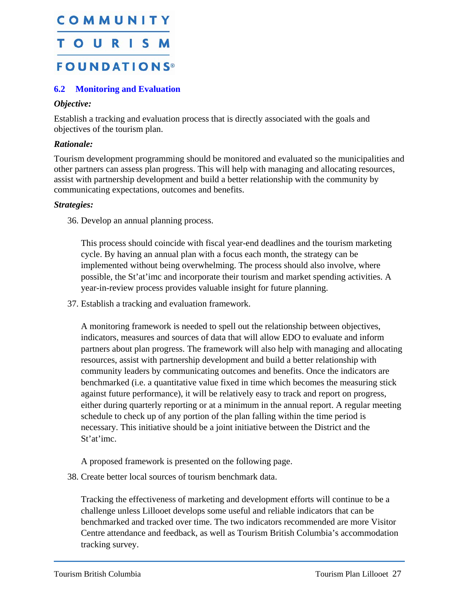## <span id="page-28-0"></span>COMMUNITY **TOURISM FOUNDATIONS®**

#### **6.2 Monitoring and Evaluation**

#### *Objective:*

Establish a tracking and evaluation process that is directly associated with the goals and objectives of the tourism plan.

#### *Rationale:*

Tourism development programming should be monitored and evaluated so the municipalities and other partners can assess plan progress. This will help with managing and allocating resources, assist with partnership development and build a better relationship with the community by communicating expectations, outcomes and benefits.

#### *Strategies:*

36. Develop an annual planning process.

This process should coincide with fiscal year-end deadlines and the tourism marketing cycle. By having an annual plan with a focus each month, the strategy can be implemented without being overwhelming. The process should also involve, where possible, the St'at'imc and incorporate their tourism and market spending activities. A year-in-review process provides valuable insight for future planning.

37. Establish a tracking and evaluation framework.

A monitoring framework is needed to spell out the relationship between objectives, indicators, measures and sources of data that will allow EDO to evaluate and inform partners about plan progress. The framework will also help with managing and allocating resources, assist with partnership development and build a better relationship with community leaders by communicating outcomes and benefits. Once the indicators are benchmarked (i.e. a quantitative value fixed in time which becomes the measuring stick against future performance), it will be relatively easy to track and report on progress, either during quarterly reporting or at a minimum in the annual report. A regular meeting schedule to check up of any portion of the plan falling within the time period is necessary. This initiative should be a joint initiative between the District and the St'at'imc.

A proposed framework is presented on the following page.

<span id="page-28-1"></span>38. Create better local sources of tourism benchmark data.

Tracking the effectiveness of marketing and development efforts will continue to be a challenge unless Lillooet develops some useful and reliable indicators that can be benchmarked and tracked over time. The two indicators recommended are more Visitor Centre attendance and feedback, as well as Tourism British Columbia's accommodation tracking survey.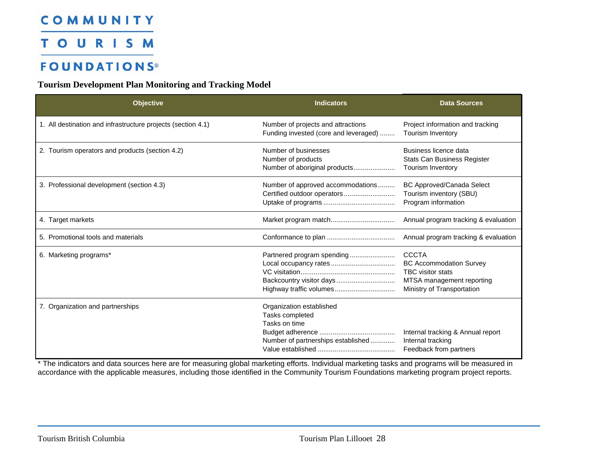**TOURISM** 

### **FOUNDATIONS®**

#### **Tourism Development Plan Monitoring and Tracking Model**

| <b>Objective</b>                                             | <b>Indicators</b>                                                                                  | <b>Data Sources</b>                                                                                                                   |
|--------------------------------------------------------------|----------------------------------------------------------------------------------------------------|---------------------------------------------------------------------------------------------------------------------------------------|
| 1. All destination and infrastructure projects (section 4.1) | Number of projects and attractions<br>Funding invested (core and leveraged)                        | Project information and tracking<br><b>Tourism Inventory</b>                                                                          |
| 2. Tourism operators and products (section 4.2)              | Number of businesses<br>Number of products<br>Number of aboriginal products                        | Business licence data<br><b>Stats Can Business Register</b><br>Tourism Inventory                                                      |
| 3. Professional development (section 4.3)                    | Number of approved accommodations                                                                  | <b>BC Approved/Canada Select</b><br>Tourism inventory (SBU)<br>Program information                                                    |
| 4. Target markets                                            |                                                                                                    | Annual program tracking & evaluation                                                                                                  |
| 5. Promotional tools and materials                           |                                                                                                    | Annual program tracking & evaluation                                                                                                  |
| 6. Marketing programs*                                       | Partnered program spending<br>Backcountry visitor days<br>Highway traffic volumes                  | <b>CCCTA</b><br><b>BC Accommodation Survey</b><br><b>TBC</b> visitor stats<br>MTSA management reporting<br>Ministry of Transportation |
| 7. Organization and partnerships                             | Organization established<br>Tasks completed<br>Tasks on time<br>Number of partnerships established | Internal tracking & Annual report<br>Internal tracking<br>Feedback from partners                                                      |

\* The indicators and data sources here are for measuring global marketing efforts. Individual marketing tasks and programs will be measured in accordance with the applicable measures, including those identified in the Community Tourism Foundations marketing program project reports.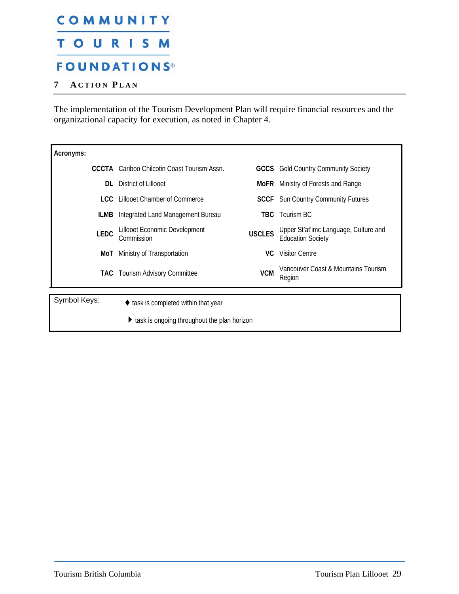## <span id="page-30-0"></span>COMMUNITY **TOURISM FOUNDATIONS®**

#### <span id="page-30-1"></span>**7 A CTION P LAN**

The implementation of the Tourism Development Plan will require financial resources and the organizational capacity for execution, as noted in Chapter 4.

| Acronyms:    |                                                                   |               |                                                                   |  |  |  |  |
|--------------|-------------------------------------------------------------------|---------------|-------------------------------------------------------------------|--|--|--|--|
|              | <b>CCCTA</b> Cariboo Chilcotin Coast Tourism Assn.                |               | <b>GCCS</b> Gold Country Community Society                        |  |  |  |  |
| DI.          | District of Lillooet                                              |               | MoFR Ministry of Forests and Range                                |  |  |  |  |
|              | <b>LCC</b> Lillooet Chamber of Commerce                           |               | <b>SCCF</b> Sun Country Community Futures                         |  |  |  |  |
| ILMB         | Integrated Land Management Bureau                                 |               | <b>TBC</b> Tourism BC                                             |  |  |  |  |
| <b>LEDC</b>  | Lillooet Economic Development<br>Commission                       | <b>USCLES</b> | Upper St'at'imc Language, Culture and<br><b>Education Society</b> |  |  |  |  |
| MoT          | Ministry of Transportation                                        | VC.           | Visitor Centre                                                    |  |  |  |  |
|              | <b>TAC</b> Tourism Advisory Committee                             | <b>VCM</b>    | Vancouver Coast & Mountains Tourism<br>Region                     |  |  |  |  |
| Symbol Keys: | $\blacklozenge$ task is completed within that year                |               |                                                                   |  |  |  |  |
|              | $\blacktriangleright$ task is ongoing throughout the plan horizon |               |                                                                   |  |  |  |  |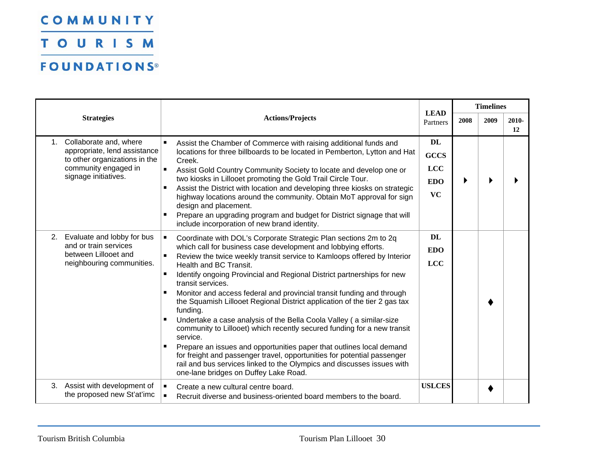TOURISM

| <b>Strategies</b> |                                                                                                                                         |                                                    |                                                                                                                                                                                                                                                                                                                                                                                                                                                                                                                                                                                                                                                                                                                                                                                                                                                                                                                                              |                                                                   | <b>Timelines</b> |      |             |
|-------------------|-----------------------------------------------------------------------------------------------------------------------------------------|----------------------------------------------------|----------------------------------------------------------------------------------------------------------------------------------------------------------------------------------------------------------------------------------------------------------------------------------------------------------------------------------------------------------------------------------------------------------------------------------------------------------------------------------------------------------------------------------------------------------------------------------------------------------------------------------------------------------------------------------------------------------------------------------------------------------------------------------------------------------------------------------------------------------------------------------------------------------------------------------------------|-------------------------------------------------------------------|------------------|------|-------------|
|                   |                                                                                                                                         |                                                    | <b>Actions/Projects</b>                                                                                                                                                                                                                                                                                                                                                                                                                                                                                                                                                                                                                                                                                                                                                                                                                                                                                                                      | <b>LEAD</b><br>Partners                                           | 2008             | 2009 | 2010-<br>12 |
| 1 <sub>1</sub>    | Collaborate and, where<br>appropriate, lend assistance<br>to other organizations in the<br>community engaged in<br>signage initiatives. | $\blacksquare$<br>$\blacksquare$                   | Assist the Chamber of Commerce with raising additional funds and<br>locations for three billboards to be located in Pemberton, Lytton and Hat<br>Creek.<br>Assist Gold Country Community Society to locate and develop one or<br>two kiosks in Lillooet promoting the Gold Trail Circle Tour.<br>Assist the District with location and developing three kiosks on strategic<br>highway locations around the community. Obtain MoT approval for sign<br>design and placement.<br>Prepare an upgrading program and budget for District signage that will<br>include incorporation of new brand identity.                                                                                                                                                                                                                                                                                                                                       | <b>DL</b><br><b>GCCS</b><br><b>LCC</b><br><b>EDO</b><br><b>VC</b> |                  |      |             |
| 2.                | Evaluate and lobby for bus<br>and or train services<br>between Lillooet and<br>neighbouring communities.                                | $\blacksquare$<br>$\blacksquare$<br>$\blacksquare$ | Coordinate with DOL's Corporate Strategic Plan sections 2m to 2q<br>which call for business case development and lobbying efforts.<br>Review the twice weekly transit service to Kamloops offered by Interior<br>Health and BC Transit.<br>Identify ongoing Provincial and Regional District partnerships for new<br>transit services.<br>Monitor and access federal and provincial transit funding and through<br>the Squamish Lillooet Regional District application of the tier 2 gas tax<br>funding.<br>Undertake a case analysis of the Bella Coola Valley (a similar-size<br>community to Lillooet) which recently secured funding for a new transit<br>service.<br>Prepare an issues and opportunities paper that outlines local demand<br>for freight and passenger travel, opportunities for potential passenger<br>rail and bus services linked to the Olympics and discusses issues with<br>one-lane bridges on Duffey Lake Road. | DL<br><b>EDO</b><br><b>LCC</b>                                    |                  |      |             |
| 3.                | Assist with development of<br>the proposed new St'at'imc                                                                                | ш                                                  | Create a new cultural centre board.<br>Recruit diverse and business-oriented board members to the board.                                                                                                                                                                                                                                                                                                                                                                                                                                                                                                                                                                                                                                                                                                                                                                                                                                     | <b>USLCES</b>                                                     |                  |      |             |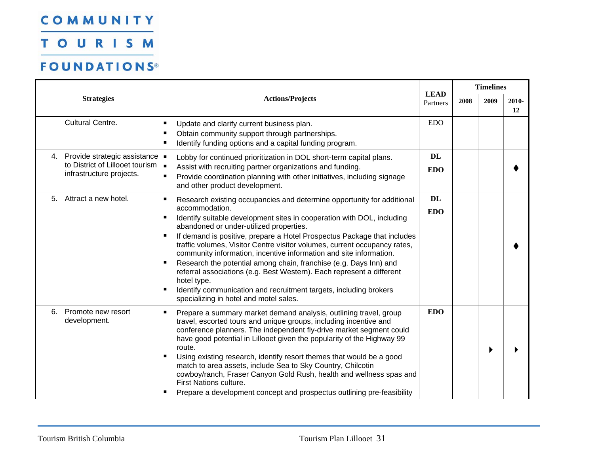TOURISM

|                                                                                                    |                                                                                                                                                                                                                                                                                                                                                                                                                                                                                                                                                                                                                                                                                                                                                               |                         |      | <b>Timelines</b> |             |
|----------------------------------------------------------------------------------------------------|---------------------------------------------------------------------------------------------------------------------------------------------------------------------------------------------------------------------------------------------------------------------------------------------------------------------------------------------------------------------------------------------------------------------------------------------------------------------------------------------------------------------------------------------------------------------------------------------------------------------------------------------------------------------------------------------------------------------------------------------------------------|-------------------------|------|------------------|-------------|
| <b>Actions/Projects</b><br><b>Strategies</b>                                                       |                                                                                                                                                                                                                                                                                                                                                                                                                                                                                                                                                                                                                                                                                                                                                               | <b>LEAD</b><br>Partners | 2008 | 2009             | 2010-<br>12 |
| <b>Cultural Centre.</b>                                                                            | $\blacksquare$<br>Update and clarify current business plan.<br>Obtain community support through partnerships.<br>$\blacksquare$<br>Identify funding options and a capital funding program.<br>$\blacksquare$                                                                                                                                                                                                                                                                                                                                                                                                                                                                                                                                                  | <b>EDO</b>              |      |                  |             |
| 4. Provide strategic assistance =<br>to District of Lillooet tourism  <br>infrastructure projects. | Lobby for continued prioritization in DOL short-term capital plans.<br>Assist with recruiting partner organizations and funding.<br>Provide coordination planning with other initiatives, including signage<br>٠<br>and other product development.                                                                                                                                                                                                                                                                                                                                                                                                                                                                                                            | <b>DL</b><br><b>EDO</b> |      |                  |             |
| Attract a new hotel.<br>5.                                                                         | Research existing occupancies and determine opportunity for additional<br>п<br>accommodation.<br>$\blacksquare$<br>Identify suitable development sites in cooperation with DOL, including<br>abandoned or under-utilized properties.<br>П<br>If demand is positive, prepare a Hotel Prospectus Package that includes<br>traffic volumes, Visitor Centre visitor volumes, current occupancy rates,<br>community information, incentive information and site information.<br>Research the potential among chain, franchise (e.g. Days Inn) and<br>п<br>referral associations (e.g. Best Western). Each represent a different<br>hotel type.<br>Identify communication and recruitment targets, including brokers<br>п<br>specializing in hotel and motel sales. | <b>DL</b><br><b>EDO</b> |      |                  |             |
| Promote new resort<br>6.<br>development.                                                           | $\blacksquare$<br>Prepare a summary market demand analysis, outlining travel, group<br>travel, escorted tours and unique groups, including incentive and<br>conference planners. The independent fly-drive market segment could<br>have good potential in Lillooet given the popularity of the Highway 99<br>route.<br>Using existing research, identify resort themes that would be a good<br>match to area assets, include Sea to Sky Country, Chilcotin<br>cowboy/ranch, Fraser Canyon Gold Rush, health and wellness spas and<br>First Nations culture.<br>Prepare a development concept and prospectus outlining pre-feasibility<br>٠                                                                                                                    | <b>EDO</b>              |      |                  |             |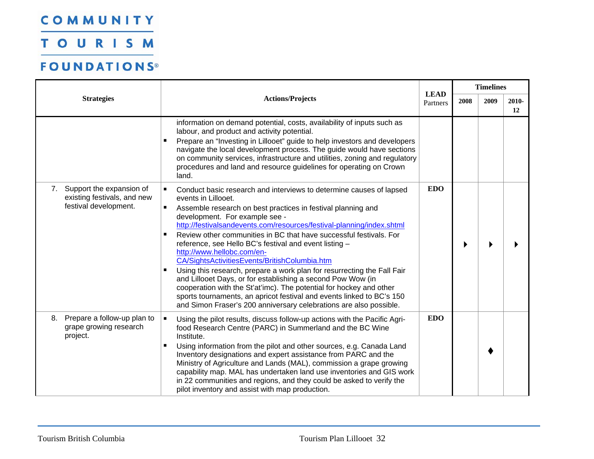TOURISM

|                                                                                                    |                                                                                                                                                                                                                                                                                                                                                                                                                                                                                                                                                                                                                                                                                                                                                                                                                                                                                               |                         | <b>Timelines</b> |      |             |  |
|----------------------------------------------------------------------------------------------------|-----------------------------------------------------------------------------------------------------------------------------------------------------------------------------------------------------------------------------------------------------------------------------------------------------------------------------------------------------------------------------------------------------------------------------------------------------------------------------------------------------------------------------------------------------------------------------------------------------------------------------------------------------------------------------------------------------------------------------------------------------------------------------------------------------------------------------------------------------------------------------------------------|-------------------------|------------------|------|-------------|--|
| <b>Strategies</b>                                                                                  | <b>Actions/Projects</b>                                                                                                                                                                                                                                                                                                                                                                                                                                                                                                                                                                                                                                                                                                                                                                                                                                                                       | <b>LEAD</b><br>Partners | 2008             | 2009 | 2010-<br>12 |  |
|                                                                                                    | information on demand potential, costs, availability of inputs such as<br>labour, and product and activity potential.<br>Prepare an "Investing in Lillooet" guide to help investors and developers<br>$\blacksquare$<br>navigate the local development process. The guide would have sections<br>on community services, infrastructure and utilities, zoning and regulatory<br>procedures and land and resource guidelines for operating on Crown<br>land.                                                                                                                                                                                                                                                                                                                                                                                                                                    |                         |                  |      |             |  |
| Support the expansion of<br>7 <sub>1</sub><br>existing festivals, and new<br>festival development. | Conduct basic research and interviews to determine causes of lapsed<br>п<br>events in Lillooet.<br>$\blacksquare$<br>Assemble research on best practices in festival planning and<br>development. For example see -<br>http://festivalsandevents.com/resources/festival-planning/index.shtml<br>Review other communities in BC that have successful festivals. For<br>$\blacksquare$<br>reference, see Hello BC's festival and event listing -<br>http://www.hellobc.com/en-<br>CA/SightsActivitiesEvents/BritishColumbia.htm<br>Using this research, prepare a work plan for resurrecting the Fall Fair<br>and Lillooet Days, or for establishing a second Pow Wow (in<br>cooperation with the St'at'imc). The potential for hockey and other<br>sports tournaments, an apricot festival and events linked to BC's 150<br>and Simon Fraser's 200 anniversary celebrations are also possible. | <b>EDO</b>              |                  |      |             |  |
| Prepare a follow-up plan to<br>8.<br>grape growing research<br>project.                            | $\blacksquare$<br>Using the pilot results, discuss follow-up actions with the Pacific Agri-<br>food Research Centre (PARC) in Summerland and the BC Wine<br>Institute.<br>Using information from the pilot and other sources, e.g. Canada Land<br>Inventory designations and expert assistance from PARC and the<br>Ministry of Agriculture and Lands (MAL), commission a grape growing<br>capability map. MAL has undertaken land use inventories and GIS work<br>in 22 communities and regions, and they could be asked to verify the<br>pilot inventory and assist with map production.                                                                                                                                                                                                                                                                                                    | <b>EDO</b>              |                  |      |             |  |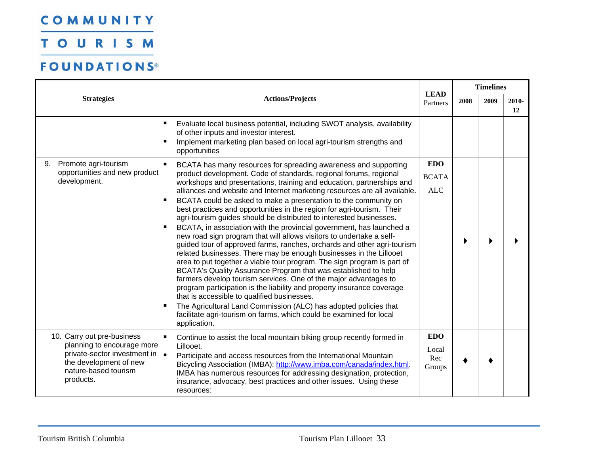TOURISM

|                                                                                                                                                                               |                                                                                                                                                                                                                                                                                                                                                                                                                                                                                                                                                                                                                                                                                                                                                                                                                                                                                                                                                                                                                                                                                                                                                                                                                                                                                                                                                          |                                          |      | <b>Timelines</b> |             |
|-------------------------------------------------------------------------------------------------------------------------------------------------------------------------------|----------------------------------------------------------------------------------------------------------------------------------------------------------------------------------------------------------------------------------------------------------------------------------------------------------------------------------------------------------------------------------------------------------------------------------------------------------------------------------------------------------------------------------------------------------------------------------------------------------------------------------------------------------------------------------------------------------------------------------------------------------------------------------------------------------------------------------------------------------------------------------------------------------------------------------------------------------------------------------------------------------------------------------------------------------------------------------------------------------------------------------------------------------------------------------------------------------------------------------------------------------------------------------------------------------------------------------------------------------|------------------------------------------|------|------------------|-------------|
| <b>Strategies</b>                                                                                                                                                             | <b>Actions/Projects</b>                                                                                                                                                                                                                                                                                                                                                                                                                                                                                                                                                                                                                                                                                                                                                                                                                                                                                                                                                                                                                                                                                                                                                                                                                                                                                                                                  | <b>LEAD</b><br>Partners                  | 2008 | 2009             | 2010-<br>12 |
|                                                                                                                                                                               | Evaluate local business potential, including SWOT analysis, availability<br>п<br>of other inputs and investor interest.<br>$\blacksquare$<br>Implement marketing plan based on local agri-tourism strengths and<br>opportunities                                                                                                                                                                                                                                                                                                                                                                                                                                                                                                                                                                                                                                                                                                                                                                                                                                                                                                                                                                                                                                                                                                                         |                                          |      |                  |             |
| Promote agri-tourism<br>9.<br>opportunities and new product<br>development.                                                                                                   | BCATA has many resources for spreading awareness and supporting<br>product development. Code of standards, regional forums, regional<br>workshops and presentations, training and education, partnerships and<br>alliances and website and Internet marketing resources are all available.<br>BCATA could be asked to make a presentation to the community on<br>$\blacksquare$<br>best practices and opportunities in the region for agri-tourism. Their<br>agri-tourism guides should be distributed to interested businesses.<br>BCATA, in association with the provincial government, has launched a<br>$\blacksquare$<br>new road sign program that will allows visitors to undertake a self-<br>guided tour of approved farms, ranches, orchards and other agri-tourism<br>related businesses. There may be enough businesses in the Lillooet<br>area to put together a viable tour program. The sign program is part of<br>BCATA's Quality Assurance Program that was established to help<br>farmers develop tourism services. One of the major advantages to<br>program participation is the liability and property insurance coverage<br>that is accessible to qualified businesses.<br>The Agricultural Land Commission (ALC) has adopted policies that<br>facilitate agri-tourism on farms, which could be examined for local<br>application. | <b>EDO</b><br><b>BCATA</b><br>$\rm{ALC}$ |      |                  |             |
| 10. Carry out pre-business<br>planning to encourage more<br>private-sector investment in $\vert \bullet \vert$<br>the development of new<br>nature-based tourism<br>products. | Continue to assist the local mountain biking group recently formed in<br>Lillooet.<br>Participate and access resources from the International Mountain<br>Bicycling Association (IMBA): http://www.imba.com/canada/index.html.<br>IMBA has numerous resources for addressing designation, protection,<br>insurance, advocacy, best practices and other issues. Using these<br>resources:                                                                                                                                                                                                                                                                                                                                                                                                                                                                                                                                                                                                                                                                                                                                                                                                                                                                                                                                                                 | <b>EDO</b><br>Local<br>Rec<br>Groups     |      |                  |             |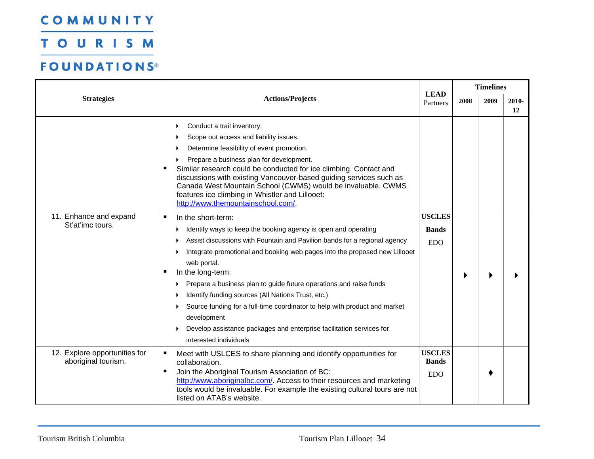TOURISM

|                                                      |                                                                                                                                                                                                                                                                                                                                                                                                                                                                                                                                                                                                                               |                                             | <b>Timelines</b> |      |             |  |
|------------------------------------------------------|-------------------------------------------------------------------------------------------------------------------------------------------------------------------------------------------------------------------------------------------------------------------------------------------------------------------------------------------------------------------------------------------------------------------------------------------------------------------------------------------------------------------------------------------------------------------------------------------------------------------------------|---------------------------------------------|------------------|------|-------------|--|
| <b>Strategies</b>                                    | <b>Actions/Projects</b>                                                                                                                                                                                                                                                                                                                                                                                                                                                                                                                                                                                                       | <b>LEAD</b><br>Partners                     | 2008             | 2009 | 2010-<br>12 |  |
|                                                      | Conduct a trail inventory.<br>▸<br>Scope out access and liability issues.<br>Determine feasibility of event promotion.<br>Prepare a business plan for development.<br>Similar research could be conducted for ice climbing. Contact and<br>discussions with existing Vancouver-based guiding services such as<br>Canada West Mountain School (CWMS) would be invaluable. CWMS<br>features ice climbing in Whistler and Lillooet:<br>http://www.themountainschool.com/                                                                                                                                                         |                                             |                  |      |             |  |
| 11. Enhance and expand<br>St'at'imc tours.           | In the short-term:<br>٠<br>Identify ways to keep the booking agency is open and operating<br>Assist discussions with Fountain and Pavilion bands for a regional agency<br>Integrate promotional and booking web pages into the proposed new Lillooet<br>web portal.<br>In the long-term:<br>п<br>Prepare a business plan to guide future operations and raise funds<br>Identify funding sources (All Nations Trust, etc.)<br>Source funding for a full-time coordinator to help with product and market<br>▶<br>development<br>Develop assistance packages and enterprise facilitation services for<br>interested individuals | <b>USCLES</b><br><b>Bands</b><br><b>EDO</b> |                  |      |             |  |
| 12. Explore opportunities for<br>aboriginal tourism. | Meet with USLCES to share planning and identify opportunities for<br>п<br>collaboration.<br>Join the Aboriginal Tourism Association of BC:<br>п<br>http://www.aboriginalbc.com/. Access to their resources and marketing<br>tools would be invaluable. For example the existing cultural tours are not<br>listed on ATAB's website.                                                                                                                                                                                                                                                                                           | <b>USCLES</b><br><b>Bands</b><br><b>EDO</b> |                  |      |             |  |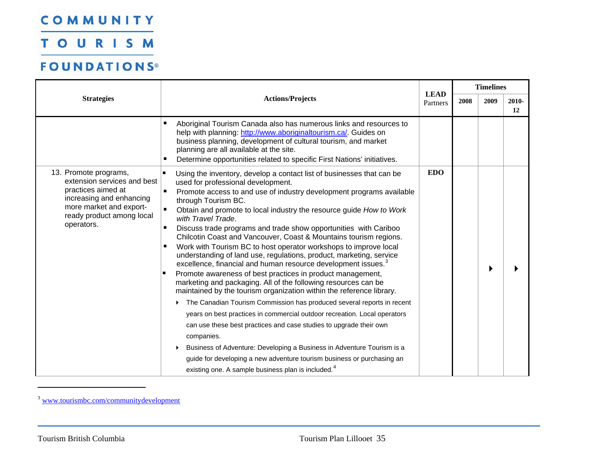TOURISM

|                                                                                                                                                                              | <b>Actions/Projects</b><br>Partners                                                                                                                                                                                                                                                                                                                                                                                                                                                                                                                                                                                                                                                                                                                                                                                                                                                                                                                                                                                                                                                                                                                                                                                                                                                                                                                                                   |            | <b>Timelines</b> |      |             |  |
|------------------------------------------------------------------------------------------------------------------------------------------------------------------------------|---------------------------------------------------------------------------------------------------------------------------------------------------------------------------------------------------------------------------------------------------------------------------------------------------------------------------------------------------------------------------------------------------------------------------------------------------------------------------------------------------------------------------------------------------------------------------------------------------------------------------------------------------------------------------------------------------------------------------------------------------------------------------------------------------------------------------------------------------------------------------------------------------------------------------------------------------------------------------------------------------------------------------------------------------------------------------------------------------------------------------------------------------------------------------------------------------------------------------------------------------------------------------------------------------------------------------------------------------------------------------------------|------------|------------------|------|-------------|--|
| <b>Strategies</b>                                                                                                                                                            |                                                                                                                                                                                                                                                                                                                                                                                                                                                                                                                                                                                                                                                                                                                                                                                                                                                                                                                                                                                                                                                                                                                                                                                                                                                                                                                                                                                       |            | 2008             | 2009 | 2010-<br>12 |  |
|                                                                                                                                                                              | Aboriginal Tourism Canada also has numerous links and resources to<br>п<br>help with planning: http://www.aboriginaltourism.ca/. Guides on<br>business planning, development of cultural tourism, and market<br>planning are all available at the site.<br>Determine opportunities related to specific First Nations' initiatives.<br>٠                                                                                                                                                                                                                                                                                                                                                                                                                                                                                                                                                                                                                                                                                                                                                                                                                                                                                                                                                                                                                                               |            |                  |      |             |  |
| 13. Promote programs,<br>extension services and best<br>practices aimed at<br>increasing and enhancing<br>more market and export-<br>ready product among local<br>operators. | Using the inventory, develop a contact list of businesses that can be<br>used for professional development.<br>Promote access to and use of industry development programs available<br>$\blacksquare$<br>through Tourism BC.<br>Obtain and promote to local industry the resource guide How to Work<br>with Travel Trade.<br>Discuss trade programs and trade show opportunities with Cariboo<br>$\blacksquare$<br>Chilcotin Coast and Vancouver, Coast & Mountains tourism regions.<br>Work with Tourism BC to host operator workshops to improve local<br>understanding of land use, regulations, product, marketing, service<br>excellence, financial and human resource development issues. <sup>3</sup><br>Promote awareness of best practices in product management,<br>marketing and packaging. All of the following resources can be<br>maintained by the tourism organization within the reference library.<br>The Canadian Tourism Commission has produced several reports in recent<br>years on best practices in commercial outdoor recreation. Local operators<br>can use these best practices and case studies to upgrade their own<br>companies.<br>Business of Adventure: Developing a Business in Adventure Tourism is a<br>guide for developing a new adventure tourism business or purchasing an<br>existing one. A sample business plan is included. <sup>4</sup> | <b>EDO</b> |                  |      |             |  |

<span id="page-36-1"></span><span id="page-36-0"></span><sup>&</sup>lt;sup>3</sup> www.tourismbc.com/communitydevelopment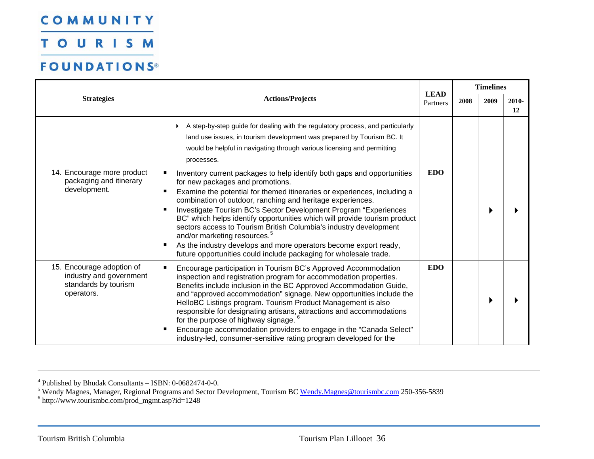**TOURISM** 

### **FOUNDATIONS®**

|                                                                                            |                                                                                                                                                                                                                                                                                                                                                                                                                                                                                                                                                                                                                                                                                                      |                         |      | <b>Timelines</b> |             |
|--------------------------------------------------------------------------------------------|------------------------------------------------------------------------------------------------------------------------------------------------------------------------------------------------------------------------------------------------------------------------------------------------------------------------------------------------------------------------------------------------------------------------------------------------------------------------------------------------------------------------------------------------------------------------------------------------------------------------------------------------------------------------------------------------------|-------------------------|------|------------------|-------------|
| <b>Strategies</b>                                                                          | <b>Actions/Projects</b>                                                                                                                                                                                                                                                                                                                                                                                                                                                                                                                                                                                                                                                                              | <b>LEAD</b><br>Partners | 2008 | 2009             | 2010-<br>12 |
|                                                                                            | A step-by-step guide for dealing with the regulatory process, and particularly<br>land use issues, in tourism development was prepared by Tourism BC. It<br>would be helpful in navigating through various licensing and permitting<br>processes.                                                                                                                                                                                                                                                                                                                                                                                                                                                    |                         |      |                  |             |
| 14. Encourage more product<br>packaging and itinerary<br>development.                      | $\blacksquare$<br>Inventory current packages to help identify both gaps and opportunities<br>for new packages and promotions.<br>Examine the potential for themed itineraries or experiences, including a<br>$\blacksquare$<br>combination of outdoor, ranching and heritage experiences.<br>Investigate Tourism BC's Sector Development Program "Experiences<br>BC" which helps identify opportunities which will provide tourism product<br>sectors access to Tourism British Columbia's industry development<br>and/or marketing resources. <sup>5</sup><br>As the industry develops and more operators become export ready,<br>future opportunities could include packaging for wholesale trade. | <b>EDO</b>              |      |                  |             |
| 15. Encourage adoption of<br>industry and government<br>standards by tourism<br>operators. | Encourage participation in Tourism BC's Approved Accommodation<br>$\blacksquare$<br>inspection and registration program for accommodation properties.<br>Benefits include inclusion in the BC Approved Accommodation Guide,<br>and "approved accommodation" signage. New opportunities include the<br>HelloBC Listings program. Tourism Product Management is also<br>responsible for designating artisans, attractions and accommodations<br>for the purpose of highway signage. <sup>6</sup><br>Encourage accommodation providers to engage in the "Canada Select"<br>industry-led, consumer-sensitive rating program developed for the                                                            | <b>EDO</b>              |      |                  |             |

4 Published by Bhudak Consultants – ISBN: 0-0682474-0-0.

<span id="page-37-1"></span><span id="page-37-0"></span><sup>5</sup> Wendy Magnes, Manager, Regional Programs and Sector Development, Tourism BC Wendy.Magnes@tourismbc.com 250-356-5839

 $6$  http://www.tourismbc.com/prod\_mgmt.asp?id=1248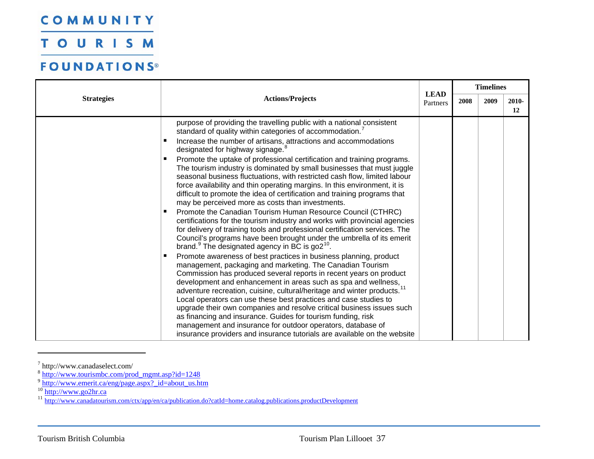**TOURISM** 

### **FOUNDATIONS®**

| <b>Strategies</b> |                                                                                                                                                                                                                                                                                                                                                                                                                                                                                                                                                                                                                                                                                                                                                                                                                                                                                                                                                                                                                                                                                                                                                                                                                                                                                                                                                                                                                                                                                                                                                                                                                                                                                                                                                                                                                                         | <b>LEAD</b> | <b>Timelines</b> |      |             |
|-------------------|-----------------------------------------------------------------------------------------------------------------------------------------------------------------------------------------------------------------------------------------------------------------------------------------------------------------------------------------------------------------------------------------------------------------------------------------------------------------------------------------------------------------------------------------------------------------------------------------------------------------------------------------------------------------------------------------------------------------------------------------------------------------------------------------------------------------------------------------------------------------------------------------------------------------------------------------------------------------------------------------------------------------------------------------------------------------------------------------------------------------------------------------------------------------------------------------------------------------------------------------------------------------------------------------------------------------------------------------------------------------------------------------------------------------------------------------------------------------------------------------------------------------------------------------------------------------------------------------------------------------------------------------------------------------------------------------------------------------------------------------------------------------------------------------------------------------------------------------|-------------|------------------|------|-------------|
|                   | <b>Actions/Projects</b>                                                                                                                                                                                                                                                                                                                                                                                                                                                                                                                                                                                                                                                                                                                                                                                                                                                                                                                                                                                                                                                                                                                                                                                                                                                                                                                                                                                                                                                                                                                                                                                                                                                                                                                                                                                                                 | Partners    | 2008             | 2009 | 2010-<br>12 |
|                   | purpose of providing the travelling public with a national consistent<br>standard of quality within categories of accommodation. <sup>7</sup><br>Increase the number of artisans, attractions and accommodations<br>в<br>designated for highway signage. <sup>8</sup><br>Promote the uptake of professional certification and training programs.<br>п<br>The tourism industry is dominated by small businesses that must juggle<br>seasonal business fluctuations, with restricted cash flow, limited labour<br>force availability and thin operating margins. In this environment, it is<br>difficult to promote the idea of certification and training programs that<br>may be perceived more as costs than investments.<br>Promote the Canadian Tourism Human Resource Council (CTHRC)<br>certifications for the tourism industry and works with provincial agencies<br>for delivery of training tools and professional certification services. The<br>Council's programs have been brought under the umbrella of its emerit<br>brand. <sup>9</sup> The designated agency in BC is go2 <sup>10</sup> .<br>Promote awareness of best practices in business planning, product<br>п<br>management, packaging and marketing. The Canadian Tourism<br>Commission has produced several reports in recent years on product<br>development and enhancement in areas such as spa and wellness,<br>adventure recreation, cuisine, cultural/heritage and winter products. <sup>11</sup><br>Local operators can use these best practices and case studies to<br>upgrade their own companies and resolve critical business issues such<br>as financing and insurance. Guides for tourism funding, risk<br>management and insurance for outdoor operators, database of<br>insurance providers and insurance tutorials are available on the website |             |                  |      |             |

<span id="page-38-2"></span><span id="page-38-1"></span>

<span id="page-38-0"></span><sup>7</sup> http://www.canadaselect.com/<br><sup>8</sup> http://www.tourismbc.com/prod\_mgmt.asp?id=124<u>8</u><br>9 http://www.emerit.ca/eng/page.aspx?\_id=about\_us.htm

<span id="page-38-4"></span><span id="page-38-3"></span><sup>&</sup>lt;sup>10</sup> http://www.go2hr.ca<br><sup>11</sup> http://www.canadatourism.com/ctx/app/en/ca/publication.do?catId=home.catalog.publications.productDevelopment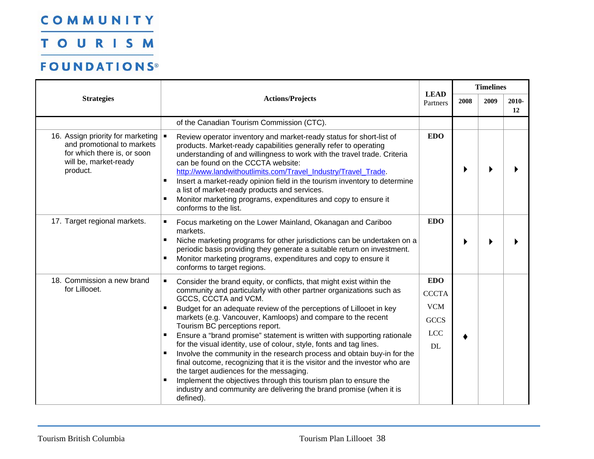TOURISM

|                                                                                                                                                              |                                                                                                                                                                                                                                                                                                                                                                                                                                                                                                                                                                                                                                                                                                                                                                                                                                                            |                                                                             |      | <b>Timelines</b> |             |  |
|--------------------------------------------------------------------------------------------------------------------------------------------------------------|------------------------------------------------------------------------------------------------------------------------------------------------------------------------------------------------------------------------------------------------------------------------------------------------------------------------------------------------------------------------------------------------------------------------------------------------------------------------------------------------------------------------------------------------------------------------------------------------------------------------------------------------------------------------------------------------------------------------------------------------------------------------------------------------------------------------------------------------------------|-----------------------------------------------------------------------------|------|------------------|-------------|--|
| <b>Strategies</b>                                                                                                                                            | <b>Actions/Projects</b>                                                                                                                                                                                                                                                                                                                                                                                                                                                                                                                                                                                                                                                                                                                                                                                                                                    | <b>LEAD</b><br>Partners                                                     | 2008 | 2009             | 2010-<br>12 |  |
|                                                                                                                                                              | of the Canadian Tourism Commission (CTC).                                                                                                                                                                                                                                                                                                                                                                                                                                                                                                                                                                                                                                                                                                                                                                                                                  |                                                                             |      |                  |             |  |
| 16. Assign priority for marketing  <br>and promotional to markets<br>for which there is, or soon<br>will be, market-ready<br>product.<br>$\blacksquare$<br>٠ | Review operator inventory and market-ready status for short-list of<br>products. Market-ready capabilities generally refer to operating<br>understanding of and willingness to work with the travel trade. Criteria<br>can be found on the CCCTA website:<br>http://www.landwithoutlimits.com/Travel_Industry/Travel_Trade.<br>Insert a market-ready opinion field in the tourism inventory to determine<br>a list of market-ready products and services.<br>Monitor marketing programs, expenditures and copy to ensure it<br>conforms to the list.                                                                                                                                                                                                                                                                                                       | <b>EDO</b>                                                                  |      |                  |             |  |
| 17. Target regional markets.<br>п<br>$\blacksquare$                                                                                                          | Focus marketing on the Lower Mainland, Okanagan and Cariboo<br>markets.<br>Niche marketing programs for other jurisdictions can be undertaken on a<br>periodic basis providing they generate a suitable return on investment.<br>Monitor marketing programs, expenditures and copy to ensure it<br>conforms to target regions.                                                                                                                                                                                                                                                                                                                                                                                                                                                                                                                             | <b>EDO</b>                                                                  |      |                  |             |  |
| 18. Commission a new brand<br>$\blacksquare$<br>for Lillooet.                                                                                                | Consider the brand equity, or conflicts, that might exist within the<br>community and particularly with other partner organizations such as<br>GCCS, CCCTA and VCM.<br>Budget for an adequate review of the perceptions of Lillooet in key<br>markets (e.g. Vancouver, Kamloops) and compare to the recent<br>Tourism BC perceptions report.<br>Ensure a "brand promise" statement is written with supporting rationale<br>for the visual identity, use of colour, style, fonts and tag lines.<br>Involve the community in the research process and obtain buy-in for the<br>final outcome, recognizing that it is the visitor and the investor who are<br>the target audiences for the messaging.<br>Implement the objectives through this tourism plan to ensure the<br>industry and community are delivering the brand promise (when it is<br>defined). | <b>EDO</b><br><b>CCCTA</b><br><b>VCM</b><br><b>GCCS</b><br><b>LCC</b><br>DL |      |                  |             |  |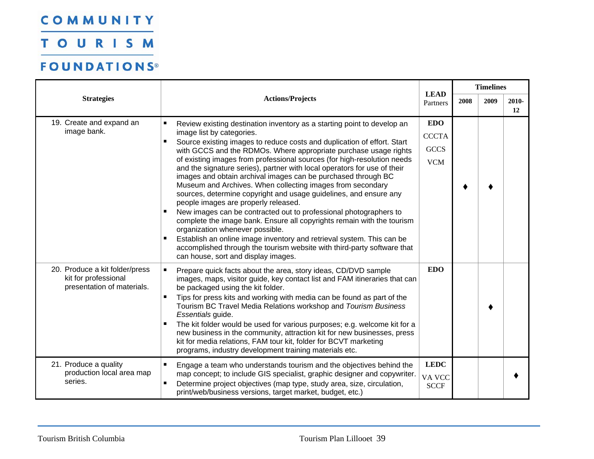TOURISM

| <b>Strategies</b>                                                                    |                                                                                                                                                                                                                                                                                                                                                                                                                                                                                                                                                                                                                                                                                                                                                                                   | <b>LEAD</b>                          |      | <b>Timelines</b> |             |  |
|--------------------------------------------------------------------------------------|-----------------------------------------------------------------------------------------------------------------------------------------------------------------------------------------------------------------------------------------------------------------------------------------------------------------------------------------------------------------------------------------------------------------------------------------------------------------------------------------------------------------------------------------------------------------------------------------------------------------------------------------------------------------------------------------------------------------------------------------------------------------------------------|--------------------------------------|------|------------------|-------------|--|
|                                                                                      | <b>Actions/Projects</b>                                                                                                                                                                                                                                                                                                                                                                                                                                                                                                                                                                                                                                                                                                                                                           | Partners                             | 2008 | 2009             | 2010-<br>12 |  |
| 19. Create and expand an                                                             | п<br>Review existing destination inventory as a starting point to develop an                                                                                                                                                                                                                                                                                                                                                                                                                                                                                                                                                                                                                                                                                                      | <b>EDO</b>                           |      |                  |             |  |
| image bank.                                                                          | image list by categories.<br>Source existing images to reduce costs and duplication of effort. Start<br>٠                                                                                                                                                                                                                                                                                                                                                                                                                                                                                                                                                                                                                                                                         | <b>CCCTA</b>                         |      |                  |             |  |
|                                                                                      | with GCCS and the RDMOs. Where appropriate purchase usage rights                                                                                                                                                                                                                                                                                                                                                                                                                                                                                                                                                                                                                                                                                                                  | <b>GCCS</b>                          |      |                  |             |  |
|                                                                                      | of existing images from professional sources (for high-resolution needs<br>and the signature series), partner with local operators for use of their<br>images and obtain archival images can be purchased through BC<br>Museum and Archives. When collecting images from secondary<br>sources, determine copyright and usage guidelines, and ensure any<br>people images are properly released.<br>New images can be contracted out to professional photographers to<br>complete the image bank. Ensure all copyrights remain with the tourism<br>organization whenever possible.<br>Establish an online image inventory and retrieval system. This can be<br>п<br>accomplished through the tourism website with third-party software that<br>can house, sort and display images. | <b>VCM</b>                           |      |                  |             |  |
| 20. Produce a kit folder/press<br>kit for professional<br>presentation of materials. | Prepare quick facts about the area, story ideas, CD/DVD sample<br>п<br>images, maps, visitor guide, key contact list and FAM itineraries that can<br>be packaged using the kit folder.<br>Tips for press kits and working with media can be found as part of the<br>Tourism BC Travel Media Relations workshop and Tourism Business<br>Essentials guide.<br>The kit folder would be used for various purposes; e.g. welcome kit for a<br>п<br>new business in the community, attraction kit for new businesses, press<br>kit for media relations, FAM tour kit, folder for BCVT marketing<br>programs, industry development training materials etc.                                                                                                                               | <b>EDO</b>                           |      |                  |             |  |
| 21. Produce a quality<br>production local area map<br>series.                        | Engage a team who understands tourism and the objectives behind the<br>п<br>map concept; to include GIS specialist, graphic designer and copywriter.<br>Determine project objectives (map type, study area, size, circulation,<br>٠<br>print/web/business versions, target market, budget, etc.)                                                                                                                                                                                                                                                                                                                                                                                                                                                                                  | <b>LEDC</b><br>VA VCC<br><b>SCCF</b> |      |                  |             |  |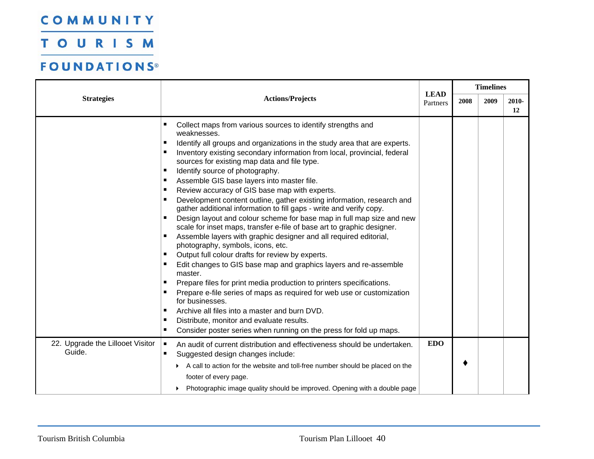TOURISM

|                                            |                                                                                                                                                                                                                                                                                                                                                                                                                                                                                                                                                                                                                                                                                                                                                                                                                                                                                                                                                                                                                                                                                                                                                                                                                                                                                                                                                                             |                         | <b>Timelines</b> |      |             |
|--------------------------------------------|-----------------------------------------------------------------------------------------------------------------------------------------------------------------------------------------------------------------------------------------------------------------------------------------------------------------------------------------------------------------------------------------------------------------------------------------------------------------------------------------------------------------------------------------------------------------------------------------------------------------------------------------------------------------------------------------------------------------------------------------------------------------------------------------------------------------------------------------------------------------------------------------------------------------------------------------------------------------------------------------------------------------------------------------------------------------------------------------------------------------------------------------------------------------------------------------------------------------------------------------------------------------------------------------------------------------------------------------------------------------------------|-------------------------|------------------|------|-------------|
| <b>Strategies</b>                          | <b>Actions/Projects</b>                                                                                                                                                                                                                                                                                                                                                                                                                                                                                                                                                                                                                                                                                                                                                                                                                                                                                                                                                                                                                                                                                                                                                                                                                                                                                                                                                     | <b>LEAD</b><br>Partners | 2008             | 2009 | 2010-<br>12 |
|                                            | ٠<br>Collect maps from various sources to identify strengths and<br>weaknesses.<br>Identify all groups and organizations in the study area that are experts.<br>п<br>Inventory existing secondary information from local, provincial, federal<br>п<br>sources for existing map data and file type.<br>Identify source of photography.<br>п<br>Assemble GIS base layers into master file.<br>п<br>Review accuracy of GIS base map with experts.<br>п<br>Development content outline, gather existing information, research and<br>gather additional information to fill gaps - write and verify copy.<br>Design layout and colour scheme for base map in full map size and new<br>scale for inset maps, transfer e-file of base art to graphic designer.<br>Assemble layers with graphic designer and all required editorial,<br>٠<br>photography, symbols, icons, etc.<br>Output full colour drafts for review by experts.<br>٠<br>Edit changes to GIS base map and graphics layers and re-assemble<br>master.<br>Prepare files for print media production to printers specifications.<br>п<br>Prepare e-file series of maps as required for web use or customization<br>for businesses.<br>Archive all files into a master and burn DVD.<br>٠<br>Distribute, monitor and evaluate results.<br>п<br>Consider poster series when running on the press for fold up maps.<br>п |                         |                  |      |             |
| 22. Upgrade the Lillooet Visitor<br>Guide. | An audit of current distribution and effectiveness should be undertaken.<br>п<br>Suggested design changes include:<br>A call to action for the website and toll-free number should be placed on the<br>footer of every page.<br>Photographic image quality should be improved. Opening with a double page                                                                                                                                                                                                                                                                                                                                                                                                                                                                                                                                                                                                                                                                                                                                                                                                                                                                                                                                                                                                                                                                   | <b>EDO</b>              |                  |      |             |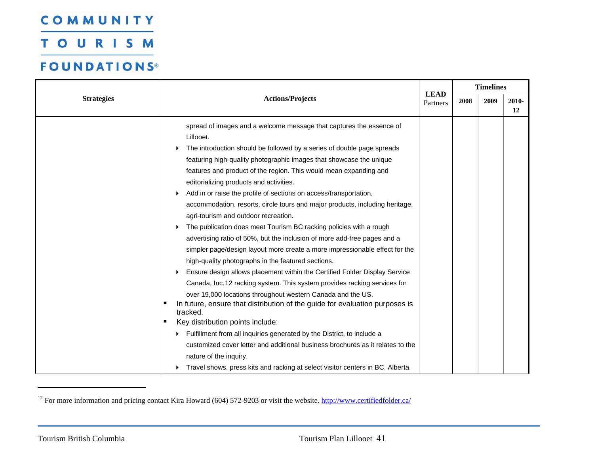**TOURISM** 

|                   |                                                                                                                                                                                                                                                                                                                                                                                                                                                                                                                                                                                                                                                                                                                                                                                                                                                                                                                                                                                                                                                                                                                                                                                                                                                                                                                                                                                                                                                                                |                         |      | <b>Timelines</b> |             |  |
|-------------------|--------------------------------------------------------------------------------------------------------------------------------------------------------------------------------------------------------------------------------------------------------------------------------------------------------------------------------------------------------------------------------------------------------------------------------------------------------------------------------------------------------------------------------------------------------------------------------------------------------------------------------------------------------------------------------------------------------------------------------------------------------------------------------------------------------------------------------------------------------------------------------------------------------------------------------------------------------------------------------------------------------------------------------------------------------------------------------------------------------------------------------------------------------------------------------------------------------------------------------------------------------------------------------------------------------------------------------------------------------------------------------------------------------------------------------------------------------------------------------|-------------------------|------|------------------|-------------|--|
| <b>Strategies</b> | <b>Actions/Projects</b>                                                                                                                                                                                                                                                                                                                                                                                                                                                                                                                                                                                                                                                                                                                                                                                                                                                                                                                                                                                                                                                                                                                                                                                                                                                                                                                                                                                                                                                        | <b>LEAD</b><br>Partners | 2008 | 2009             | 2010-<br>12 |  |
|                   | spread of images and a welcome message that captures the essence of<br>Lillooet.<br>The introduction should be followed by a series of double page spreads<br>featuring high-quality photographic images that showcase the unique<br>features and product of the region. This would mean expanding and<br>editorializing products and activities.<br>Add in or raise the profile of sections on access/transportation,<br>accommodation, resorts, circle tours and major products, including heritage,<br>agri-tourism and outdoor recreation.<br>The publication does meet Tourism BC racking policies with a rough<br>▶<br>advertising ratio of 50%, but the inclusion of more add-free pages and a<br>simpler page/design layout more create a more impressionable effect for the<br>high-quality photographs in the featured sections.<br>Ensure design allows placement within the Certified Folder Display Service<br>Canada, Inc.12 racking system. This system provides racking services for<br>over 19,000 locations throughout western Canada and the US.<br>In future, ensure that distribution of the guide for evaluation purposes is<br>п<br>tracked.<br>Key distribution points include:<br>Fulfillment from all inquiries generated by the District, to include a<br>customized cover letter and additional business brochures as it relates to the<br>nature of the inquiry.<br>Travel shows, press kits and racking at select visitor centers in BC, Alberta |                         |      |                  |             |  |

<span id="page-42-0"></span><sup>&</sup>lt;sup>12</sup> For more information and pricing contact Kira Howard (604) 572-9203 or visit the website.  $\frac{http://www.certified folder.ca/}$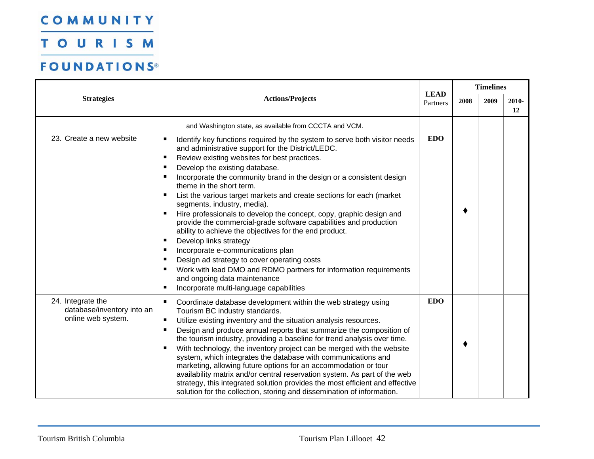TOURISM

|                                                                       |                                                                                                                                                                                                                                                                                                                                                                                                                                                                                                                                                                                                                                                                                                                                                                                                                                                                                                                                                                     |                         |      | <b>Timelines</b> |             |
|-----------------------------------------------------------------------|---------------------------------------------------------------------------------------------------------------------------------------------------------------------------------------------------------------------------------------------------------------------------------------------------------------------------------------------------------------------------------------------------------------------------------------------------------------------------------------------------------------------------------------------------------------------------------------------------------------------------------------------------------------------------------------------------------------------------------------------------------------------------------------------------------------------------------------------------------------------------------------------------------------------------------------------------------------------|-------------------------|------|------------------|-------------|
| <b>Strategies</b>                                                     | <b>Actions/Projects</b>                                                                                                                                                                                                                                                                                                                                                                                                                                                                                                                                                                                                                                                                                                                                                                                                                                                                                                                                             | <b>LEAD</b><br>Partners | 2008 | 2009             | 2010-<br>12 |
|                                                                       | and Washington state, as available from CCCTA and VCM.                                                                                                                                                                                                                                                                                                                                                                                                                                                                                                                                                                                                                                                                                                                                                                                                                                                                                                              |                         |      |                  |             |
| 23. Create a new website                                              | Identify key functions required by the system to serve both visitor needs<br>п<br>and administrative support for the District/LEDC.<br>$\blacksquare$<br>Review existing websites for best practices.<br>Develop the existing database.<br>п<br>Incorporate the community brand in the design or a consistent design<br>п<br>theme in the short term.<br>List the various target markets and create sections for each (market<br>п<br>segments, industry, media).<br>Hire professionals to develop the concept, copy, graphic design and<br>п<br>provide the commercial-grade software capabilities and production<br>ability to achieve the objectives for the end product.<br>Develop links strategy<br>п<br>Incorporate e-communications plan<br>п<br>Design ad strategy to cover operating costs<br>п<br>Work with lead DMO and RDMO partners for information requirements<br>٠<br>and ongoing data maintenance<br>Incorporate multi-language capabilities<br>п | <b>EDO</b>              |      |                  |             |
| 24. Integrate the<br>database/inventory into an<br>online web system. | $\blacksquare$<br>Coordinate database development within the web strategy using<br>Tourism BC industry standards.<br>Utilize existing inventory and the situation analysis resources.<br>$\blacksquare$<br>Design and produce annual reports that summarize the composition of<br>$\blacksquare$<br>the tourism industry, providing a baseline for trend analysis over time.<br>With technology, the inventory project can be merged with the website<br>system, which integrates the database with communications and<br>marketing, allowing future options for an accommodation or tour<br>availability matrix and/or central reservation system. As part of the web<br>strategy, this integrated solution provides the most efficient and effective<br>solution for the collection, storing and dissemination of information.                                                                                                                                    | <b>EDO</b>              |      |                  |             |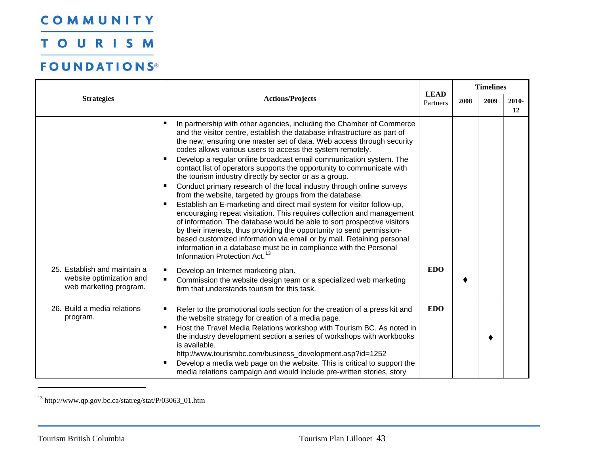TOURISM

### **FOUNDATIONS®**

|                                                                                    |                                                                                                                                                                                                                                                                                                                                                                                                                                                                                                                                                                                                                                                                                                                                                                                                                                                                                                                                                                                                                                                                                                                                                          |                         | 2008 | <b>Timelines</b> |             |  |
|------------------------------------------------------------------------------------|----------------------------------------------------------------------------------------------------------------------------------------------------------------------------------------------------------------------------------------------------------------------------------------------------------------------------------------------------------------------------------------------------------------------------------------------------------------------------------------------------------------------------------------------------------------------------------------------------------------------------------------------------------------------------------------------------------------------------------------------------------------------------------------------------------------------------------------------------------------------------------------------------------------------------------------------------------------------------------------------------------------------------------------------------------------------------------------------------------------------------------------------------------|-------------------------|------|------------------|-------------|--|
| <b>Strategies</b>                                                                  | <b>Actions/Projects</b>                                                                                                                                                                                                                                                                                                                                                                                                                                                                                                                                                                                                                                                                                                                                                                                                                                                                                                                                                                                                                                                                                                                                  | <b>LEAD</b><br>Partners |      | 2009             | 2010-<br>12 |  |
|                                                                                    | In partnership with other agencies, including the Chamber of Commerce<br>п<br>and the visitor centre, establish the database infrastructure as part of<br>the new, ensuring one master set of data. Web access through security<br>codes allows various users to access the system remotely.<br>Develop a regular online broadcast email communication system. The<br>contact list of operators supports the opportunity to communicate with<br>the tourism industry directly by sector or as a group.<br>Conduct primary research of the local industry through online surveys<br>٠<br>from the website, targeted by groups from the database.<br>Establish an E-marketing and direct mail system for visitor follow-up,<br>п<br>encouraging repeat visitation. This requires collection and management<br>of information. The database would be able to sort prospective visitors<br>by their interests, thus providing the opportunity to send permission-<br>based customized information via email or by mail. Retaining personal<br>information in a database must be in compliance with the Personal<br>Information Protection Act. <sup>13</sup> |                         |      |                  |             |  |
| 25. Establish and maintain a<br>website optimization and<br>web marketing program. | ٠<br>Develop an Internet marketing plan.<br>Commission the website design team or a specialized web marketing<br>٠<br>firm that understands tourism for this task.                                                                                                                                                                                                                                                                                                                                                                                                                                                                                                                                                                                                                                                                                                                                                                                                                                                                                                                                                                                       | <b>EDO</b>              |      |                  |             |  |
| 26. Build a media relations<br>program.                                            | Refer to the promotional tools section for the creation of a press kit and<br>п<br>the website strategy for creation of a media page.<br>Host the Travel Media Relations workshop with Tourism BC. As noted in<br>п<br>the industry development section a series of workshops with workbooks<br>is available.<br>http://www.tourismbc.com/business_development.asp?id=1252<br>Develop a media web page on the website. This is critical to support the<br>media relations campaign and would include pre-written stories, story                                                                                                                                                                                                                                                                                                                                                                                                                                                                                                                                                                                                                          | <b>EDO</b>              |      |                  |             |  |

<span id="page-44-0"></span>13 http://www.qp.gov.bc.ca/statreg/stat/P/03063\_01.htm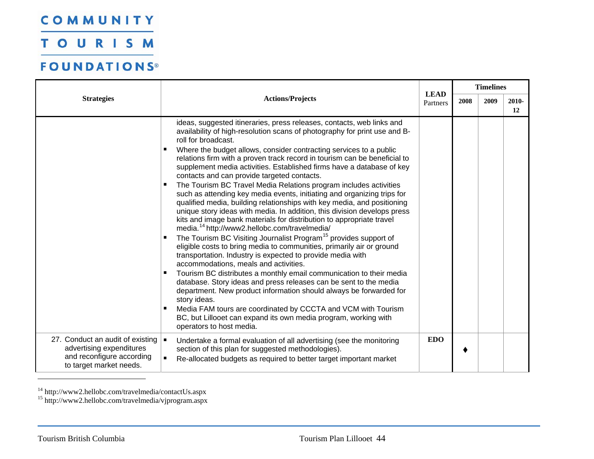TOURISM

### **FOUNDATIONS®**

|                                                                                                                      |                                                                                                                                                                                                                                                                                                                                                                                                                                                                                                                                                                                                                                                                                                                                                                                                                                                                                                                                                                                                                                                                                                                                                                                                                                                                                                                                                                                                                                                                                                                                                                                             | <b>LEAD</b> |      | <b>Timelines</b> |                |  |  |
|----------------------------------------------------------------------------------------------------------------------|---------------------------------------------------------------------------------------------------------------------------------------------------------------------------------------------------------------------------------------------------------------------------------------------------------------------------------------------------------------------------------------------------------------------------------------------------------------------------------------------------------------------------------------------------------------------------------------------------------------------------------------------------------------------------------------------------------------------------------------------------------------------------------------------------------------------------------------------------------------------------------------------------------------------------------------------------------------------------------------------------------------------------------------------------------------------------------------------------------------------------------------------------------------------------------------------------------------------------------------------------------------------------------------------------------------------------------------------------------------------------------------------------------------------------------------------------------------------------------------------------------------------------------------------------------------------------------------------|-------------|------|------------------|----------------|--|--|
| <b>Strategies</b>                                                                                                    | <b>Actions/Projects</b>                                                                                                                                                                                                                                                                                                                                                                                                                                                                                                                                                                                                                                                                                                                                                                                                                                                                                                                                                                                                                                                                                                                                                                                                                                                                                                                                                                                                                                                                                                                                                                     | Partners    | 2008 | 2009             | $2010 -$<br>12 |  |  |
|                                                                                                                      | ideas, suggested itineraries, press releases, contacts, web links and<br>availability of high-resolution scans of photography for print use and B-<br>roll for broadcast.<br>Where the budget allows, consider contracting services to a public<br>٠<br>relations firm with a proven track record in tourism can be beneficial to<br>supplement media activities. Established firms have a database of key<br>contacts and can provide targeted contacts.<br>The Tourism BC Travel Media Relations program includes activities<br>٠<br>such as attending key media events, initiating and organizing trips for<br>qualified media, building relationships with key media, and positioning<br>unique story ideas with media. In addition, this division develops press<br>kits and image bank materials for distribution to appropriate travel<br>media. <sup>14</sup> http://www2.hellobc.com/travelmedia/<br>The Tourism BC Visiting Journalist Program <sup>15</sup> provides support of<br>٠<br>eligible costs to bring media to communities, primarily air or ground<br>transportation. Industry is expected to provide media with<br>accommodations, meals and activities.<br>Tourism BC distributes a monthly email communication to their media<br>٠<br>database. Story ideas and press releases can be sent to the media<br>department. New product information should always be forwarded for<br>story ideas.<br>Media FAM tours are coordinated by CCCTA and VCM with Tourism<br>٠<br>BC, but Lillooet can expand its own media program, working with<br>operators to host media. |             |      |                  |                |  |  |
| 27. Conduct an audit of existing<br>advertising expenditures<br>and reconfigure according<br>to target market needs. | $\blacksquare$<br>Undertake a formal evaluation of all advertising (see the monitoring<br>section of this plan for suggested methodologies).<br>$\blacksquare$<br>Re-allocated budgets as required to better target important market                                                                                                                                                                                                                                                                                                                                                                                                                                                                                                                                                                                                                                                                                                                                                                                                                                                                                                                                                                                                                                                                                                                                                                                                                                                                                                                                                        | <b>EDO</b>  |      |                  |                |  |  |

<span id="page-45-1"></span><span id="page-45-0"></span><sup>14</sup> http://www2.hellobc.com/travelmedia/contactUs.aspx

<sup>15</sup> http://www2.hellobc.com/travelmedia/vjprogram.aspx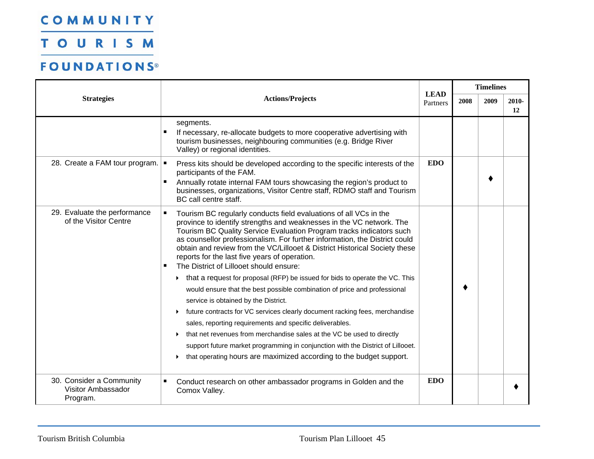TOURISM

|                                                                   | <b>Actions/Projects</b>                                                                                                                                                                                                                                                                                                                                                                                                                                                                                                                                                                                                                                                                                                                                                                                                                                                                                                                                                                                                                                                 | <b>LEAD</b> |      | <b>Timelines</b> |             |
|-------------------------------------------------------------------|-------------------------------------------------------------------------------------------------------------------------------------------------------------------------------------------------------------------------------------------------------------------------------------------------------------------------------------------------------------------------------------------------------------------------------------------------------------------------------------------------------------------------------------------------------------------------------------------------------------------------------------------------------------------------------------------------------------------------------------------------------------------------------------------------------------------------------------------------------------------------------------------------------------------------------------------------------------------------------------------------------------------------------------------------------------------------|-------------|------|------------------|-------------|
| <b>Strategies</b>                                                 |                                                                                                                                                                                                                                                                                                                                                                                                                                                                                                                                                                                                                                                                                                                                                                                                                                                                                                                                                                                                                                                                         | Partners    | 2008 | 2009             | 2010-<br>12 |
|                                                                   | segments.<br>If necessary, re-allocate budgets to more cooperative advertising with<br>tourism businesses, neighbouring communities (e.g. Bridge River<br>Valley) or regional identities.                                                                                                                                                                                                                                                                                                                                                                                                                                                                                                                                                                                                                                                                                                                                                                                                                                                                               |             |      |                  |             |
| 28. Create a FAM tour program. $\vert \bullet \vert$              | Press kits should be developed according to the specific interests of the<br>participants of the FAM.<br>Annually rotate internal FAM tours showcasing the region's product to<br>$\blacksquare$<br>businesses, organizations, Visitor Centre staff, RDMO staff and Tourism<br>BC call centre staff.                                                                                                                                                                                                                                                                                                                                                                                                                                                                                                                                                                                                                                                                                                                                                                    | <b>EDO</b>  |      |                  |             |
| 29. Evaluate the performance<br>of the Visitor Centre             | Tourism BC regularly conducts field evaluations of all VCs in the<br>п<br>province to identify strengths and weaknesses in the VC network. The<br>Tourism BC Quality Service Evaluation Program tracks indicators such<br>as counsellor professionalism. For further information, the District could<br>obtain and review from the VC/Lillooet & District Historical Society these<br>reports for the last five years of operation.<br>The District of Lillooet should ensure:<br>that a request for proposal (RFP) be issued for bids to operate the VC. This<br>would ensure that the best possible combination of price and professional<br>service is obtained by the District.<br>future contracts for VC services clearly document racking fees, merchandise<br>sales, reporting requirements and specific deliverables.<br>that net revenues from merchandise sales at the VC be used to directly<br>support future market programming in conjunction with the District of Lillooet.<br>that operating hours are maximized according to the budget support.<br>▶ |             |      |                  |             |
| 30. Consider a Community<br><b>Visitor Ambassador</b><br>Program. | $\blacksquare$<br>Conduct research on other ambassador programs in Golden and the<br>Comox Valley.                                                                                                                                                                                                                                                                                                                                                                                                                                                                                                                                                                                                                                                                                                                                                                                                                                                                                                                                                                      | <b>EDO</b>  |      |                  |             |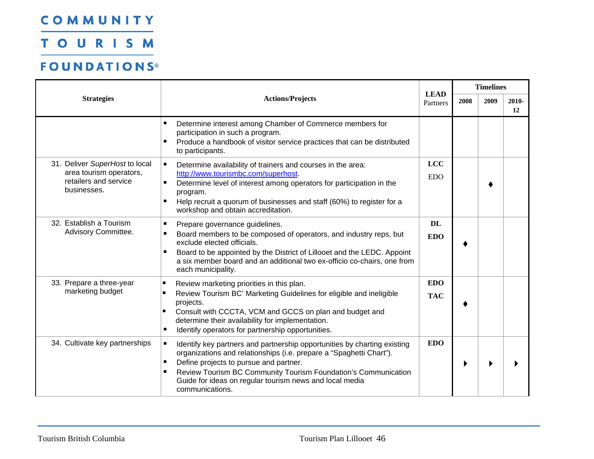TOURISM

|                                                                                                   |                                                                                                                                                                                                                                                                                                                                                     | <b>LEAD</b>              |      | <b>Timelines</b> |             |  |
|---------------------------------------------------------------------------------------------------|-----------------------------------------------------------------------------------------------------------------------------------------------------------------------------------------------------------------------------------------------------------------------------------------------------------------------------------------------------|--------------------------|------|------------------|-------------|--|
| <b>Strategies</b>                                                                                 | <b>Actions/Projects</b>                                                                                                                                                                                                                                                                                                                             | Partners                 | 2008 | 2009             | 2010-<br>12 |  |
|                                                                                                   | Determine interest among Chamber of Commerce members for<br>п<br>participation in such a program.<br>Produce a handbook of visitor service practices that can be distributed<br>п<br>to participants.                                                                                                                                               |                          |      |                  |             |  |
| 31. Deliver SuperHost to local<br>area tourism operators,<br>retailers and service<br>businesses. | Determine availability of trainers and courses in the area:<br>П<br>http://www.tourismbc.com/superhost<br>Determine level of interest among operators for participation in the<br>п<br>program.<br>п<br>Help recruit a quorum of businesses and staff (60%) to register for a<br>workshop and obtain accreditation.                                 | <b>LCC</b><br><b>EDO</b> |      |                  |             |  |
| 32. Establish a Tourism<br>Advisory Committee.                                                    | Prepare governance guidelines.<br>п<br>Board members to be composed of operators, and industry reps, but<br>п<br>exclude elected officials.<br>Board to be appointed by the District of Lillooet and the LEDC. Appoint<br>п<br>a six member board and an additional two ex-officio co-chairs, one from<br>each municipality.                        | <b>DL</b><br><b>EDO</b>  |      |                  |             |  |
| 33. Prepare a three-year<br>marketing budget                                                      | Review marketing priorities in this plan.<br>ш<br>Review Tourism BC' Marketing Guidelines for eligible and ineligible<br>projects.<br>Consult with CCCTA, VCM and GCCS on plan and budget and<br>determine their availability for implementation.<br>Identify operators for partnership opportunities.<br>п                                         | <b>EDO</b><br><b>TAC</b> |      |                  |             |  |
| 34. Cultivate key partnerships                                                                    | Identify key partners and partnership opportunities by charting existing<br>п<br>organizations and relationships (i.e. prepare a "Spaghetti Chart").<br>Define projects to pursue and partner.<br>Review Tourism BC Community Tourism Foundation's Communication<br>п<br>Guide for ideas on regular tourism news and local media<br>communications. | <b>EDO</b>               |      |                  |             |  |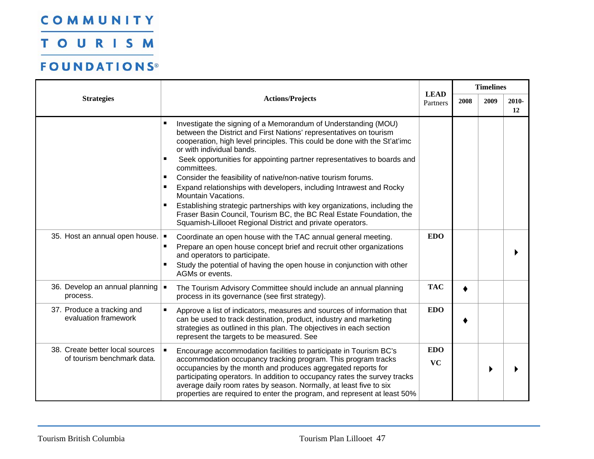TOURISM

|                                                               |                                                                                                                                                                                                                                                                                                                                                                                                                                                                                                                                                                                                                                                                                                                                                     |                         |      | <b>Timelines</b> |             |  |
|---------------------------------------------------------------|-----------------------------------------------------------------------------------------------------------------------------------------------------------------------------------------------------------------------------------------------------------------------------------------------------------------------------------------------------------------------------------------------------------------------------------------------------------------------------------------------------------------------------------------------------------------------------------------------------------------------------------------------------------------------------------------------------------------------------------------------------|-------------------------|------|------------------|-------------|--|
| <b>Strategies</b>                                             | <b>Actions/Projects</b>                                                                                                                                                                                                                                                                                                                                                                                                                                                                                                                                                                                                                                                                                                                             | <b>LEAD</b><br>Partners | 2008 | 2009             | 2010-<br>12 |  |
|                                                               | Investigate the signing of a Memorandum of Understanding (MOU)<br>п<br>between the District and First Nations' representatives on tourism<br>cooperation, high level principles. This could be done with the St'at'imc<br>or with individual bands.<br>Seek opportunities for appointing partner representatives to boards and<br>٠<br>committees.<br>Consider the feasibility of native/non-native tourism forums.<br>п<br>Expand relationships with developers, including Intrawest and Rocky<br>п<br>Mountain Vacations.<br>Establishing strategic partnerships with key organizations, including the<br>п<br>Fraser Basin Council, Tourism BC, the BC Real Estate Foundation, the<br>Squamish-Lillooet Regional District and private operators. |                         |      |                  |             |  |
| 35. Host an annual open house. $\blacksquare$                 | Coordinate an open house with the TAC annual general meeting.<br>Prepare an open house concept brief and recruit other organizations<br>and operators to participate.<br>Study the potential of having the open house in conjunction with other<br>AGMs or events.                                                                                                                                                                                                                                                                                                                                                                                                                                                                                  | <b>EDO</b>              |      |                  |             |  |
| 36. Develop an annual planning =<br>process.                  | The Tourism Advisory Committee should include an annual planning<br>process in its governance (see first strategy).                                                                                                                                                                                                                                                                                                                                                                                                                                                                                                                                                                                                                                 | <b>TAC</b>              |      |                  |             |  |
| 37. Produce a tracking and<br>evaluation framework            | Approve a list of indicators, measures and sources of information that<br>П<br>can be used to track destination, product, industry and marketing<br>strategies as outlined in this plan. The objectives in each section<br>represent the targets to be measured. See                                                                                                                                                                                                                                                                                                                                                                                                                                                                                | <b>EDO</b>              |      |                  |             |  |
| 38. Create better local sources<br>of tourism benchmark data. | Encourage accommodation facilities to participate in Tourism BC's<br>accommodation occupancy tracking program. This program tracks<br>occupancies by the month and produces aggregated reports for<br>participating operators. In addition to occupancy rates the survey tracks<br>average daily room rates by season. Normally, at least five to six<br>properties are required to enter the program, and represent at least 50%                                                                                                                                                                                                                                                                                                                   | <b>EDO</b><br><b>VC</b> |      |                  |             |  |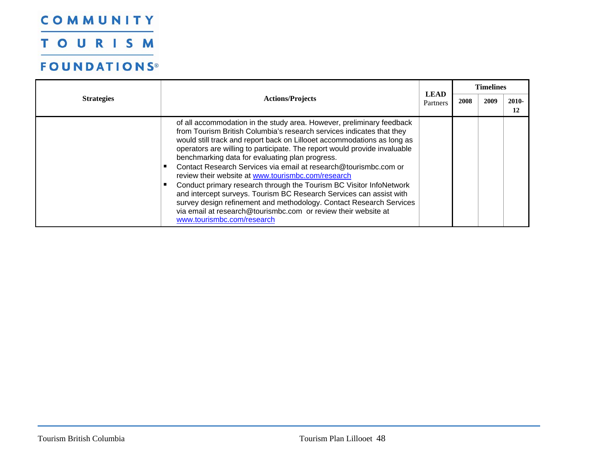TOURISM

| <b>Strategies</b> | <b>Actions/Projects</b>                                                                                                                                                                                                                                                                                                                                                                                                                                                                                                                                                                                                                                                                                                                                                                                  |                         | <b>Timelines</b> |      |             |  |
|-------------------|----------------------------------------------------------------------------------------------------------------------------------------------------------------------------------------------------------------------------------------------------------------------------------------------------------------------------------------------------------------------------------------------------------------------------------------------------------------------------------------------------------------------------------------------------------------------------------------------------------------------------------------------------------------------------------------------------------------------------------------------------------------------------------------------------------|-------------------------|------------------|------|-------------|--|
|                   |                                                                                                                                                                                                                                                                                                                                                                                                                                                                                                                                                                                                                                                                                                                                                                                                          | <b>LEAD</b><br>Partners | 2008             | 2009 | 2010-<br>12 |  |
|                   | of all accommodation in the study area. However, preliminary feedback<br>from Tourism British Columbia's research services indicates that they<br>would still track and report back on Lillooet accommodations as long as<br>operators are willing to participate. The report would provide invaluable<br>benchmarking data for evaluating plan progress.<br>Contact Research Services via email at research@tourismbc.com or<br>review their website at www.tourismbc.com/research<br>Conduct primary research through the Tourism BC Visitor InfoNetwork<br>and intercept surveys. Tourism BC Research Services can assist with<br>survey design refinement and methodology. Contact Research Services<br>via email at research@tourismbc.com or review their website at<br>www.tourismbc.com/research |                         |                  |      |             |  |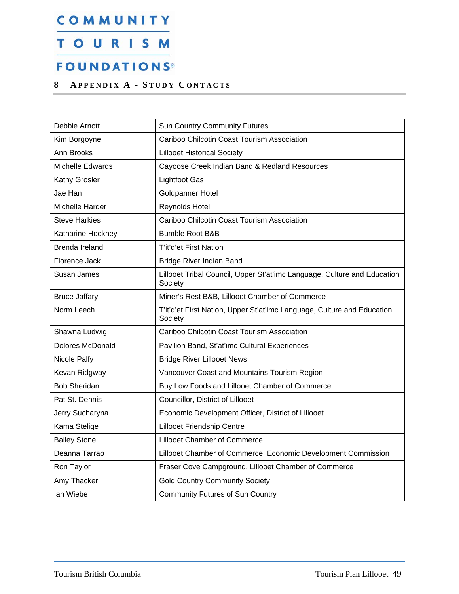### <span id="page-50-0"></span>TOURISM

### **FOUNDATIONS®**

#### <span id="page-50-1"></span>**8 A PPENDIX A - S TUDY C ONTACTS**

| Debbie Arnott        | <b>Sun Country Community Futures</b>                                                |
|----------------------|-------------------------------------------------------------------------------------|
| Kim Borgoyne         | Cariboo Chilcotin Coast Tourism Association                                         |
| Ann Brooks           | <b>Lillooet Historical Society</b>                                                  |
| Michelle Edwards     | Cayoose Creek Indian Band & Redland Resources                                       |
| Kathy Grosler        | <b>Lightfoot Gas</b>                                                                |
| Jae Han              | Goldpanner Hotel                                                                    |
| Michelle Harder      | Reynolds Hotel                                                                      |
| Steve Harkies        | Cariboo Chilcotin Coast Tourism Association                                         |
| Katharine Hockney    | <b>Bumble Root B&amp;B</b>                                                          |
| Brenda Ireland       | T'it'q'et First Nation                                                              |
| Florence Jack        | Bridge River Indian Band                                                            |
| Susan James          | Lillooet Tribal Council, Upper St'at'imc Language, Culture and Education<br>Society |
| <b>Bruce Jaffary</b> | Miner's Rest B&B, Lillooet Chamber of Commerce                                      |
| Norm Leech           | T'it'q'et First Nation, Upper St'at'imc Language, Culture and Education<br>Society  |
| Shawna Ludwig        | Cariboo Chilcotin Coast Tourism Association                                         |
| Dolores McDonald     | Pavilion Band, St'at'imc Cultural Experiences                                       |
| Nicole Palfy         | <b>Bridge River Lillooet News</b>                                                   |
| Kevan Ridgway        | Vancouver Coast and Mountains Tourism Region                                        |
| <b>Bob Sheridan</b>  | Buy Low Foods and Lillooet Chamber of Commerce                                      |
| Pat St. Dennis       | Councillor, District of Lillooet                                                    |
| Jerry Sucharyna      | Economic Development Officer, District of Lillooet                                  |
| Kama Stelige         | <b>Lillooet Friendship Centre</b>                                                   |
| <b>Bailey Stone</b>  | <b>Lillooet Chamber of Commerce</b>                                                 |
| Deanna Tarrao        | Lillooet Chamber of Commerce, Economic Development Commission                       |
| Ron Taylor           | Fraser Cove Campground, Lillooet Chamber of Commerce                                |
| Amy Thacker          | <b>Gold Country Community Society</b>                                               |
| lan Wiebe            | <b>Community Futures of Sun Country</b>                                             |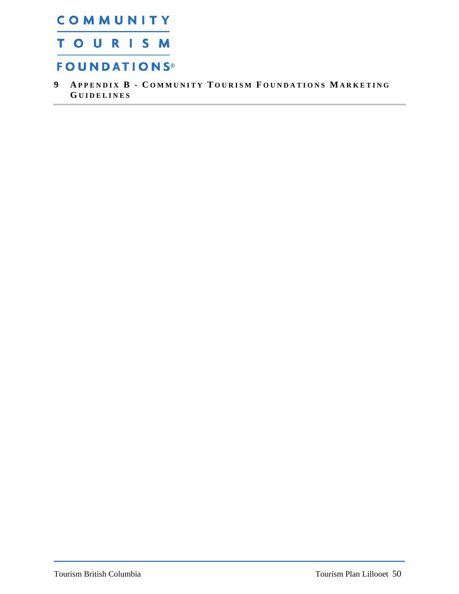<span id="page-51-0"></span>COMMUNITY **TOURISM** 

### **FOUNDATIONS®**

<span id="page-51-1"></span>**9 A PPENDIX B - C OMMUNITY T OURISM F OUNDATIONS M ARKETING G UIDELINES**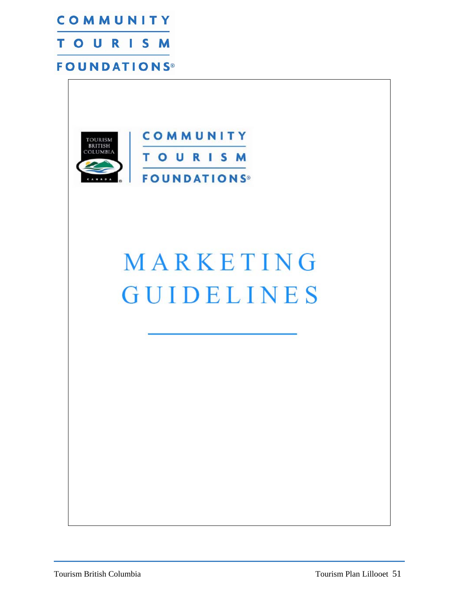



# MARKETING **GUIDELINES**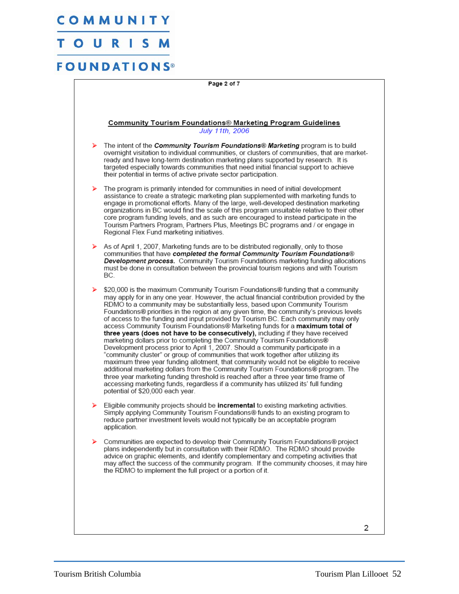#### $\mathbf{o}$  U R

### **FOUNDATIONS**

Page 2 of 7

#### Community Tourism Foundations® Marketing Program Guidelines July 11th, 2006

- The intent of the Community Tourism Foundations® Marketing program is to build overnight visitation to individual communities, or clusters of communities, that are marketready and have long-term destination marketing plans supported by research. It is targeted especially towards communities that need initial financial support to achieve their potential in terms of active private sector participation.
- The program is primarily intended for communities in need of initial development assistance to create a strategic marketing plan supplemented with marketing funds to engage in promotional efforts. Many of the large, well-developed destination marketing organizations in BC would find the scale of this program unsuitable relative to their other core program funding levels, and as such are encouraged to instead participate in the Tourism Partners Program, Partners Plus, Meetings BC programs and / or engage in Regional Flex Fund marketing initiatives.
- As of April 1, 2007, Marketing funds are to be distributed regionally, only to those communities that have completed the formal Community Tourism Foundations® Development process. Community Tourism Foundations marketing funding allocations must be done in consultation between the provincial tourism regions and with Tourism BC.
- \$20,000 is the maximum Community Tourism Foundations® funding that a community may apply for in any one year. However, the actual financial contribution provided by the RDMO to a community may be substantially less, based upon Community Tourism Foundations® priorities in the region at any given time, the community's previous levels of access to the funding and input provided by Tourism BC. Each community may only access Community Tourism Foundations® Marketing funds for a maximum total of three years (does not have to be consecutively), including if they have received marketing dollars prior to completing the Community Tourism Foundations® Development process prior to April 1, 2007. Should a community participate in a "community cluster" or group of communities that work together after utilizing its maximum three year funding allotment, that community would not be eligible to receive additional marketing dollars from the Community Tourism Foundations® program. The three year marketing funding threshold is reached after a three year time frame of accessing marketing funds, regardless if a community has utilized its' full funding potential of \$20,000 each year.
- Eligible community projects should be **incremental** to existing marketing activities. Simply applying Community Tourism Foundations® funds to an existing program to reduce partner investment levels would not typically be an acceptable program application.
- Communities are expected to develop their Community Tourism Foundations® project plans independently but in consultation with their RDMO. The RDMO should provide advice on graphic elements, and identify complementary and competing activities that may affect the success of the community program. If the community chooses, it may hire the RDMO to implement the full project or a portion of it.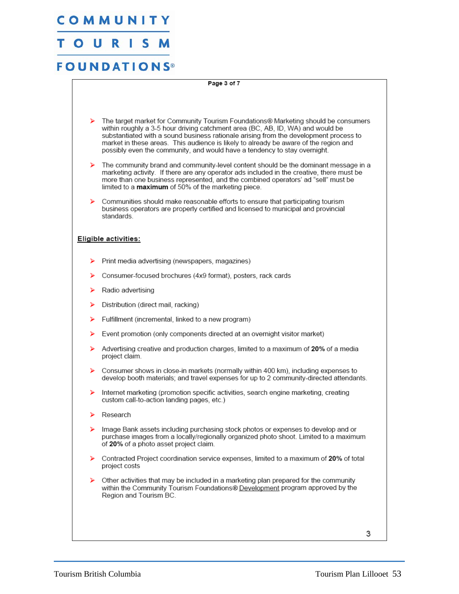#### S  $\mathbf O$ . U R

### **FOUNDATIONS**

Page 3 of 7 The target market for Community Tourism Foundations® Marketing should be consumers within roughly a 3-5 hour driving catchment area (BC, AB, ID, WA) and would be substantiated with a sound business rationale arising from the development process to market in these areas. This audience is likely to already be aware of the region and possibly even the community, and would have a tendency to stay overnight. The community brand and community-level content should be the dominant message in a ১ marketing activity. If there are any operator ads included in the creative, there must be more than one business represented, and the combined operators' ad "sell" must be limited to a maximum of 50% of the marketing piece. Communities should make reasonable efforts to ensure that participating tourism business operators are properly certified and licensed to municipal and provincial standards. Eligible activities: Print media advertising (newspapers, magazines) ⋗ Consumer-focused brochures (4x9 format), posters, rack cards ⋗ Radio advertising ⋗ Distribution (direct mail, racking) ⋗ Fulfillment (incremental, linked to a new program) ⋗ ⋗ Event promotion (only components directed at an overnight visitor market) ⋗ Advertising creative and production charges, limited to a maximum of 20% of a media project claim. ⋗ Consumer shows in close-in markets (normally within 400 km), including expenses to develop booth materials; and travel expenses for up to 2 community-directed attendants. Internet marketing (promotion specific activities, search engine marketing, creating ⋗ custom call-to-action landing pages, etc.) ⋗ Research Image Bank assets including purchasing stock photos or expenses to develop and or purchase images from a locally/regionally organized photo shoot. Limited to a maximum of 20% of a photo asset project claim. ⋗ Contracted Project coordination service expenses, limited to a maximum of 20% of total project costs Other activities that may be included in a marketing plan prepared for the community ⋗ within the Community Tourism Foundations® Development program approved by the Region and Tourism BC.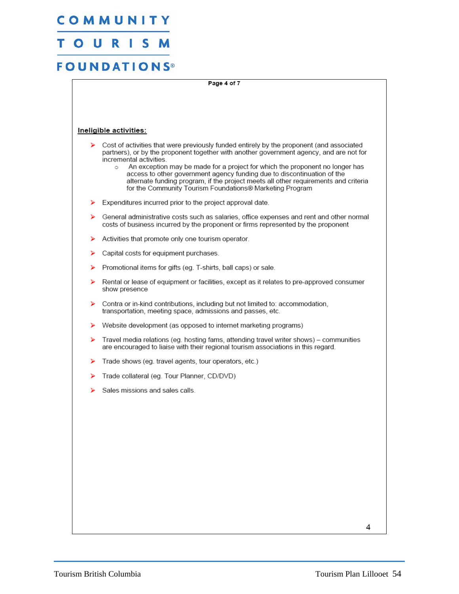#### S  $\mathbf O$ U R

### **FOUNDATIONS**

Page 4 of 7

#### Ineligible activities:

- $\triangleright$  Cost of activities that were previously funded entirely by the proponent (and associated partners), or by the proponent together with another government agency, and are not for incremental activities.
	- An exception may be made for a project for which the proponent no longer has  $\circ$ access to other government agency funding due to discontinuation of the alternate funding program, if the project meets all other requirements and criteria for the Community Tourism Foundations® Marketing Program
- Expenditures incurred prior to the project approval date. ⋗
- General administrative costs such as salaries, office expenses and rent and other normal costs of business incurred by the proponent or firms represented by the proponent
- Activities that promote only one tourism operator. ⋗
- Capital costs for equipment purchases. ⋗
- Promotional items for gifts (eg. T-shirts, ball caps) or sale. ⋗
- Rental or lease of equipment or facilities, except as it relates to pre-approved consumer ⋗ show presence
- $\blacktriangleright$ Contra or in-kind contributions, including but not limited to: accommodation, transportation, meeting space, admissions and passes, etc.
- ⋗ Website development (as opposed to internet marketing programs)
- Travel media relations (eg. hosting fams, attending travel writer shows) communities ⋗ are encouraged to liaise with their regional tourism associations in this regard.
- У Trade shows (eg. travel agents, tour operators, etc.)
- ⋗ Trade collateral (eg. Tour Planner, CD/DVD)
- ⋗ Sales missions and sales calls.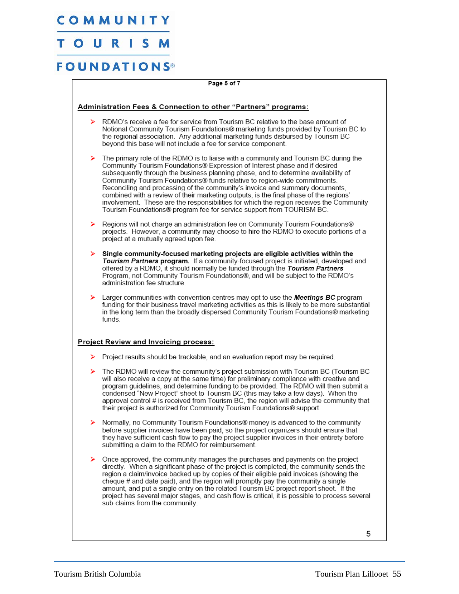### TOURISM

| Page 5 of 7                                                    |                                                                                                                                                                                                                                                                                                                                                                                                                                                                                                                                                                                                                                                                                    |  |
|----------------------------------------------------------------|------------------------------------------------------------------------------------------------------------------------------------------------------------------------------------------------------------------------------------------------------------------------------------------------------------------------------------------------------------------------------------------------------------------------------------------------------------------------------------------------------------------------------------------------------------------------------------------------------------------------------------------------------------------------------------|--|
| Administration Fees & Connection to other "Partners" programs: |                                                                                                                                                                                                                                                                                                                                                                                                                                                                                                                                                                                                                                                                                    |  |
| ➤                                                              | RDMO's receive a fee for service from Tourism BC relative to the base amount of<br>Notional Community Tourism Foundations® marketing funds provided by Tourism BC to<br>the regional association. Any additional marketing funds disbursed by Tourism BC<br>beyond this base will not include a fee for service component.                                                                                                                                                                                                                                                                                                                                                         |  |
| ⋗                                                              | The primary role of the RDMO is to liaise with a community and Tourism BC during the<br>Community Tourism Foundations® Expression of Interest phase and if desired<br>subsequently through the business planning phase, and to determine availability of<br>Community Tourism Foundations® funds relative to region-wide commitments.<br>Reconciling and processing of the community's invoice and summary documents,<br>combined with a review of their marketing outputs, is the final phase of the regions'<br>involvement. These are the responsibilities for which the region receives the Community<br>Tourism Foundations® program fee for service support from TOURISM BC. |  |
| ⋗                                                              | Regions will not charge an administration fee on Community Tourism Foundations®<br>projects. However, a community may choose to hire the RDMO to execute portions of a<br>project at a mutually agreed upon fee.                                                                                                                                                                                                                                                                                                                                                                                                                                                                   |  |
| ⋗                                                              | Single community-focused marketing projects are eligible activities within the<br>Tourism Partners program. If a community-focused project is initiated, developed and<br>offered by a RDMO, it should normally be funded through the Tourism Partners<br>Program, not Community Tourism Foundations®, and will be subject to the RDMO's<br>administration fee structure.                                                                                                                                                                                                                                                                                                          |  |
| ⋗                                                              | Larger communities with convention centres may opt to use the Meetings BC program<br>funding for their business travel marketing activities as this is likely to be more substantial<br>in the long term than the broadly dispersed Community Tourism Foundations® marketing<br>funds.                                                                                                                                                                                                                                                                                                                                                                                             |  |
|                                                                | <b>Project Review and Invoicing process:</b>                                                                                                                                                                                                                                                                                                                                                                                                                                                                                                                                                                                                                                       |  |
|                                                                | $\triangleright$ Project results should be trackable, and an evaluation report may be required.                                                                                                                                                                                                                                                                                                                                                                                                                                                                                                                                                                                    |  |
| ⋗                                                              | The RDMO will review the community's project submission with Tourism BC (Tourism BC<br>will also receive a copy at the same time) for preliminary compliance with creative and<br>program guidelines, and determine funding to be provided. The RDMO will then submit a<br>condensed "New Project" sheet to Tourism BC (this may take a few days). When the<br>approval control # is received from Tourism BC, the region will advise the community that<br>their project is authorized for Community Tourism Foundations® support.                                                                                                                                                |  |
|                                                                | Normally, no Community Tourism Foundations® money is advanced to the community<br>before supplier invoices have been paid, so the project organizers should ensure that<br>they have sufficient cash flow to pay the project supplier invoices in their entirety before<br>submitting a claim to the RDMO for reimbursement.                                                                                                                                                                                                                                                                                                                                                       |  |
| ⋗                                                              | Once approved, the community manages the purchases and payments on the project<br>directly. When a significant phase of the project is completed, the community sends the<br>region a claim/invoice backed up by copies of their eligible paid invoices (showing the<br>cheque # and date paid), and the region will promptly pay the community a single<br>amount, and put a single entry on the related Tourism BC project report sheet. If the<br>project has several major stages, and cash flow is critical, it is possible to process several<br>sub-claims from the community.                                                                                              |  |
|                                                                | 5                                                                                                                                                                                                                                                                                                                                                                                                                                                                                                                                                                                                                                                                                  |  |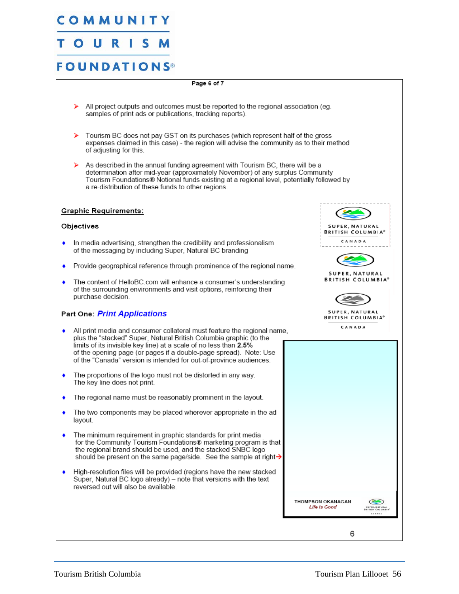#### $\mathbf O$ U R